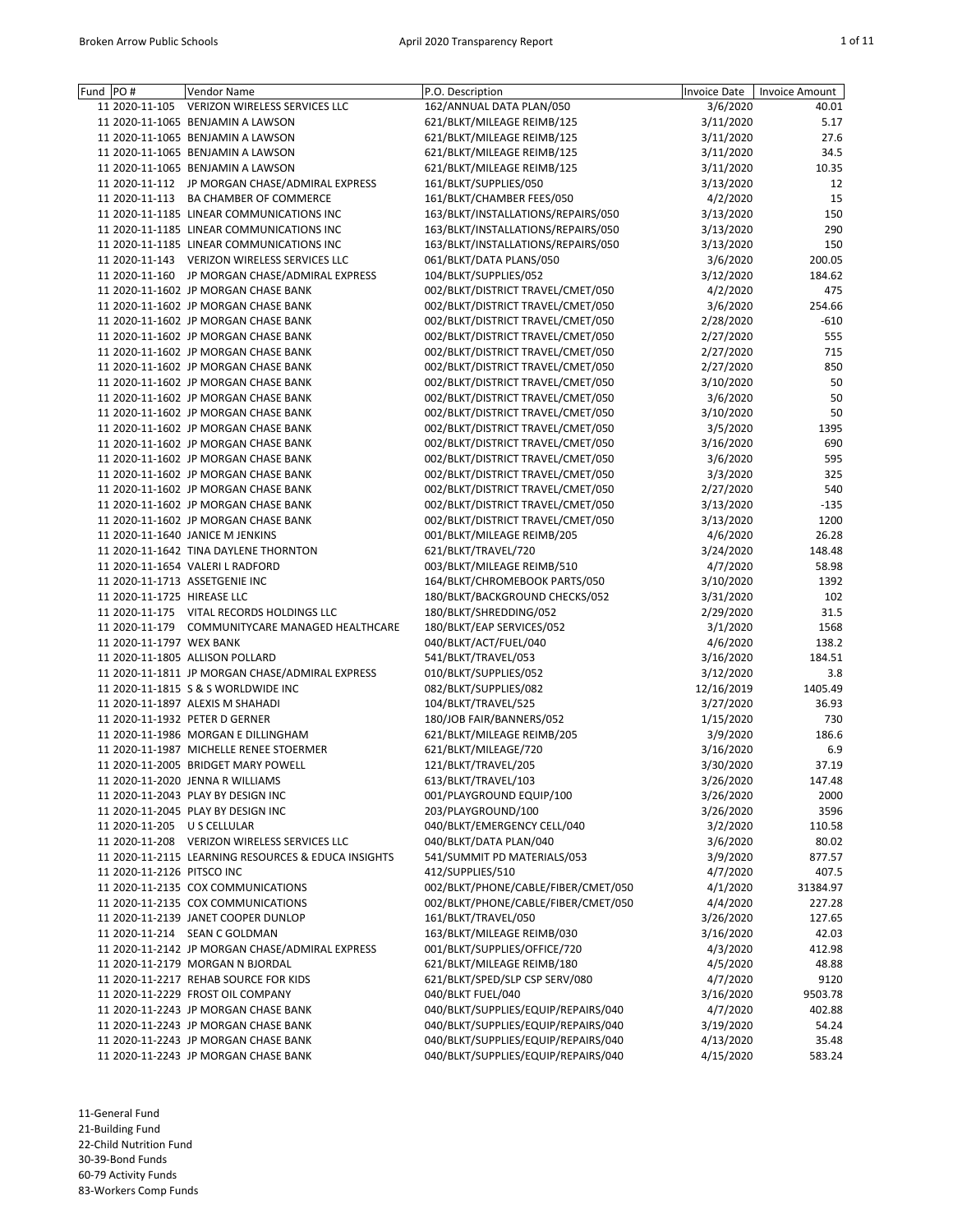| Fund PO#                       | <b>Vendor Name</b>                                  | P.O. Description                    | <b>Invoice Date</b> | <b>Invoice Amount</b> |
|--------------------------------|-----------------------------------------------------|-------------------------------------|---------------------|-----------------------|
| 11 2020-11-105                 | VERIZON WIRELESS SERVICES LLC                       | 162/ANNUAL DATA PLAN/050            | 3/6/2020            | 40.01                 |
|                                | 11 2020-11-1065 BENJAMIN A LAWSON                   | 621/BLKT/MILEAGE REIMB/125          | 3/11/2020           | 5.17                  |
|                                | 11 2020-11-1065 BENJAMIN A LAWSON                   | 621/BLKT/MILEAGE REIMB/125          | 3/11/2020           | 27.6                  |
|                                | 11 2020-11-1065 BENJAMIN A LAWSON                   | 621/BLKT/MILEAGE REIMB/125          | 3/11/2020           | 34.5                  |
|                                | 11 2020-11-1065 BENJAMIN A LAWSON                   | 621/BLKT/MILEAGE REIMB/125          | 3/11/2020           | 10.35                 |
|                                | 11 2020-11-112 JP MORGAN CHASE/ADMIRAL EXPRESS      | 161/BLKT/SUPPLIES/050               | 3/13/2020           | 12                    |
|                                | 11 2020-11-113 BA CHAMBER OF COMMERCE               | 161/BLKT/CHAMBER FEES/050           | 4/2/2020            | 15                    |
|                                | 11 2020-11-1185 LINEAR COMMUNICATIONS INC           | 163/BLKT/INSTALLATIONS/REPAIRS/050  | 3/13/2020           | 150                   |
|                                | 11 2020-11-1185 LINEAR COMMUNICATIONS INC           | 163/BLKT/INSTALLATIONS/REPAIRS/050  | 3/13/2020           | 290                   |
|                                | 11 2020-11-1185 LINEAR COMMUNICATIONS INC           | 163/BLKT/INSTALLATIONS/REPAIRS/050  | 3/13/2020           | 150                   |
|                                | 11 2020-11-143 VERIZON WIRELESS SERVICES LLC        | 061/BLKT/DATA PLANS/050             | 3/6/2020            | 200.05                |
|                                |                                                     |                                     |                     |                       |
|                                | 11 2020-11-160 JP MORGAN CHASE/ADMIRAL EXPRESS      | 104/BLKT/SUPPLIES/052               | 3/12/2020           | 184.62                |
|                                | 11 2020-11-1602 JP MORGAN CHASE BANK                | 002/BLKT/DISTRICT TRAVEL/CMET/050   | 4/2/2020            | 475                   |
|                                | 11 2020-11-1602 JP MORGAN CHASE BANK                | 002/BLKT/DISTRICT TRAVEL/CMET/050   | 3/6/2020            | 254.66                |
|                                | 11 2020-11-1602 JP MORGAN CHASE BANK                | 002/BLKT/DISTRICT TRAVEL/CMET/050   | 2/28/2020           | -610                  |
|                                | 11 2020-11-1602 JP MORGAN CHASE BANK                | 002/BLKT/DISTRICT TRAVEL/CMET/050   | 2/27/2020           | 555                   |
|                                | 11 2020-11-1602 JP MORGAN CHASE BANK                | 002/BLKT/DISTRICT TRAVEL/CMET/050   | 2/27/2020           | 715                   |
|                                | 11 2020-11-1602 JP MORGAN CHASE BANK                | 002/BLKT/DISTRICT TRAVEL/CMET/050   | 2/27/2020           | 850                   |
|                                | 11 2020-11-1602 JP MORGAN CHASE BANK                | 002/BLKT/DISTRICT TRAVEL/CMET/050   | 3/10/2020           | 50                    |
|                                | 11 2020-11-1602 JP MORGAN CHASE BANK                | 002/BLKT/DISTRICT TRAVEL/CMET/050   | 3/6/2020            | 50                    |
|                                | 11 2020-11-1602 JP MORGAN CHASE BANK                | 002/BLKT/DISTRICT TRAVEL/CMET/050   | 3/10/2020           | 50                    |
|                                | 11 2020-11-1602 JP MORGAN CHASE BANK                | 002/BLKT/DISTRICT TRAVEL/CMET/050   | 3/5/2020            | 1395                  |
|                                | 11 2020-11-1602 JP MORGAN CHASE BANK                | 002/BLKT/DISTRICT TRAVEL/CMET/050   | 3/16/2020           | 690                   |
|                                | 11 2020-11-1602 JP MORGAN CHASE BANK                | 002/BLKT/DISTRICT TRAVEL/CMET/050   | 3/6/2020            | 595                   |
|                                | 11 2020-11-1602 JP MORGAN CHASE BANK                | 002/BLKT/DISTRICT TRAVEL/CMET/050   | 3/3/2020            | 325                   |
|                                | 11 2020-11-1602 JP MORGAN CHASE BANK                | 002/BLKT/DISTRICT TRAVEL/CMET/050   | 2/27/2020           | 540                   |
|                                | 11 2020-11-1602 JP MORGAN CHASE BANK                | 002/BLKT/DISTRICT TRAVEL/CMET/050   | 3/13/2020           | $-135$                |
|                                | 11 2020-11-1602 JP MORGAN CHASE BANK                | 002/BLKT/DISTRICT TRAVEL/CMET/050   | 3/13/2020           | 1200                  |
|                                | 11 2020-11-1640 JANICE M JENKINS                    |                                     |                     | 26.28                 |
|                                |                                                     | 001/BLKT/MILEAGE REIMB/205          | 4/6/2020            |                       |
|                                | 11 2020-11-1642 TINA DAYLENE THORNTON               | 621/BLKT/TRAVEL/720                 | 3/24/2020           | 148.48                |
|                                | 11 2020-11-1654 VALERI L RADFORD                    | 003/BLKT/MILEAGE REIMB/510          | 4/7/2020            | 58.98                 |
| 11 2020-11-1713 ASSETGENIE INC |                                                     | 164/BLKT/CHROMEBOOK PARTS/050       | 3/10/2020           | 1392                  |
| 11 2020-11-1725 HIREASE LLC    |                                                     | 180/BLKT/BACKGROUND CHECKS/052      | 3/31/2020           | 102                   |
|                                | 11 2020-11-175 VITAL RECORDS HOLDINGS LLC           | 180/BLKT/SHREDDING/052              | 2/29/2020           | 31.5                  |
|                                | 11 2020-11-179 COMMUNITYCARE MANAGED HEALTHCARE     | 180/BLKT/EAP SERVICES/052           | 3/1/2020            | 1568                  |
| 11 2020-11-1797 WEX BANK       |                                                     | 040/BLKT/ACT/FUEL/040               | 4/6/2020            | 138.2                 |
|                                | 11 2020-11-1805 ALLISON POLLARD                     | 541/BLKT/TRAVEL/053                 | 3/16/2020           | 184.51                |
|                                | 11 2020-11-1811 JP MORGAN CHASE/ADMIRAL EXPRESS     | 010/BLKT/SUPPLIES/052               | 3/12/2020           | 3.8                   |
|                                | 11 2020-11-1815 S & S WORLDWIDE INC                 | 082/BLKT/SUPPLIES/082               | 12/16/2019          | 1405.49               |
|                                | 11 2020-11-1897 ALEXIS M SHAHADI                    | 104/BLKT/TRAVEL/525                 | 3/27/2020           | 36.93                 |
|                                | 11 2020-11-1932 PETER D GERNER                      | 180/JOB FAIR/BANNERS/052            | 1/15/2020           | 730                   |
|                                | 11 2020-11-1986 MORGAN E DILLINGHAM                 | 621/BLKT/MILEAGE REIMB/205          | 3/9/2020            | 186.6                 |
|                                | 11 2020-11-1987 MICHELLE RENEE STOERMER             | 621/BLKT/MILEAGE/720                | 3/16/2020           | 6.9                   |
|                                | 11 2020-11-2005 BRIDGET MARY POWELL                 | 121/BLKT/TRAVEL/205                 | 3/30/2020           | 37.19                 |
|                                | 11 2020-11-2020 JENNA R WILLIAMS                    | 613/BLKT/TRAVEL/103                 | 3/26/2020           | 147.48                |
|                                | 11 2020-11-2043 PLAY BY DESIGN INC                  | 001/PLAYGROUND EQUIP/100            | 3/26/2020           | 2000                  |
|                                | 11 2020-11-2045 PLAY BY DESIGN INC                  | 203/PLAYGROUND/100                  | 3/26/2020           | 3596                  |
| 11 2020-11-205 U S CELLULAR    |                                                     | 040/BLKT/EMERGENCY CELL/040         | 3/2/2020            | 110.58                |
|                                | 11 2020-11-208 VERIZON WIRELESS SERVICES LLC        |                                     |                     |                       |
|                                |                                                     | 040/BLKT/DATA PLAN/040              | 3/6/2020            | 80.02                 |
|                                | 11 2020-11-2115 LEARNING RESOURCES & EDUCA INSIGHTS | 541/SUMMIT PD MATERIALS/053         | 3/9/2020            | 877.57                |
| 11 2020-11-2126 PITSCO INC     |                                                     | 412/SUPPLIES/510                    | 4/7/2020            | 407.5                 |
|                                | 11 2020-11-2135 COX COMMUNICATIONS                  | 002/BLKT/PHONE/CABLE/FIBER/CMET/050 | 4/1/2020            | 31384.97              |
|                                | 11 2020-11-2135 COX COMMUNICATIONS                  | 002/BLKT/PHONE/CABLE/FIBER/CMET/050 | 4/4/2020            | 227.28                |
|                                | 11 2020-11-2139 JANET COOPER DUNLOP                 | 161/BLKT/TRAVEL/050                 | 3/26/2020           | 127.65                |
|                                | 11 2020-11-214 SEAN C GOLDMAN                       | 163/BLKT/MILEAGE REIMB/030          | 3/16/2020           | 42.03                 |
|                                | 11 2020-11-2142 JP MORGAN CHASE/ADMIRAL EXPRESS     | 001/BLKT/SUPPLIES/OFFICE/720        | 4/3/2020            | 412.98                |
|                                | 11 2020-11-2179 MORGAN N BJORDAL                    | 621/BLKT/MILEAGE REIMB/180          | 4/5/2020            | 48.88                 |
|                                | 11 2020-11-2217 REHAB SOURCE FOR KIDS               | 621/BLKT/SPED/SLP CSP SERV/080      | 4/7/2020            | 9120                  |
|                                | 11 2020-11-2229 FROST OIL COMPANY                   | 040/BLKT FUEL/040                   | 3/16/2020           | 9503.78               |
|                                | 11 2020-11-2243 JP MORGAN CHASE BANK                | 040/BLKT/SUPPLIES/EQUIP/REPAIRS/040 | 4/7/2020            | 402.88                |
|                                | 11 2020-11-2243 JP MORGAN CHASE BANK                | 040/BLKT/SUPPLIES/EQUIP/REPAIRS/040 | 3/19/2020           | 54.24                 |
|                                | 11 2020-11-2243 JP MORGAN CHASE BANK                | 040/BLKT/SUPPLIES/EQUIP/REPAIRS/040 | 4/13/2020           | 35.48                 |
|                                | 11 2020-11-2243 JP MORGAN CHASE BANK                | 040/BLKT/SUPPLIES/EQUIP/REPAIRS/040 | 4/15/2020           | 583.24                |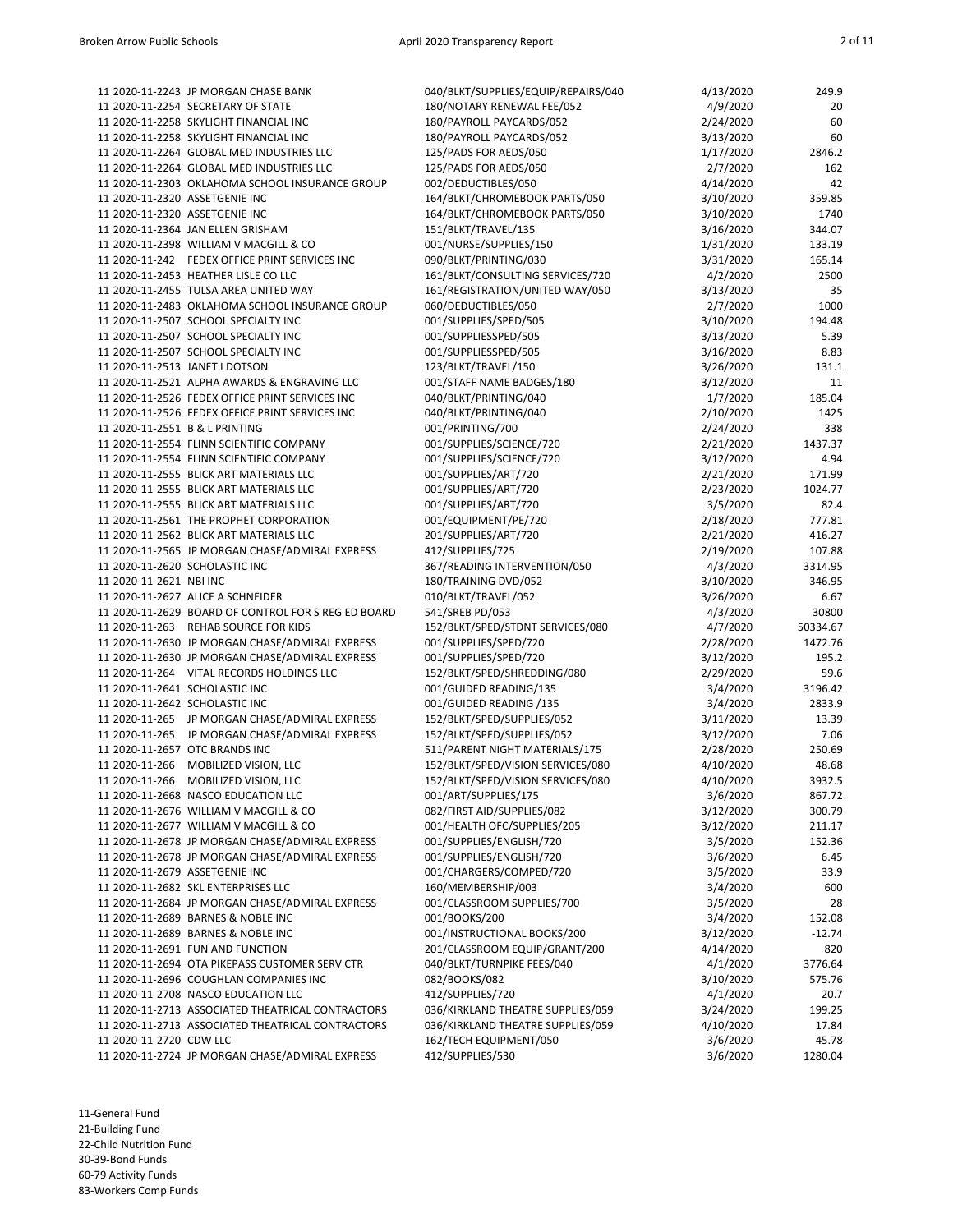|                                | 11 2020-11-2243 JP MORGAN CHASE BANK                | 040/BLKT/SUPPLIES/EQUIP/REPAIRS/040 | 4/13/2020 | 249.9    |
|--------------------------------|-----------------------------------------------------|-------------------------------------|-----------|----------|
|                                | 11 2020-11-2254 SECRETARY OF STATE                  | 180/NOTARY RENEWAL FEE/052          | 4/9/2020  | 20       |
|                                | 11 2020-11-2258 SKYLIGHT FINANCIAL INC              | 180/PAYROLL PAYCARDS/052            | 2/24/2020 | 60       |
|                                | 11 2020-11-2258 SKYLIGHT FINANCIAL INC              | 180/PAYROLL PAYCARDS/052            |           | 60       |
|                                |                                                     |                                     | 3/13/2020 |          |
|                                | 11 2020-11-2264 GLOBAL MED INDUSTRIES LLC           | 125/PADS FOR AEDS/050               | 1/17/2020 | 2846.2   |
|                                | 11 2020-11-2264 GLOBAL MED INDUSTRIES LLC           | 125/PADS FOR AEDS/050               | 2/7/2020  | 162      |
|                                | 11 2020-11-2303 OKLAHOMA SCHOOL INSURANCE GROUP     | 002/DEDUCTIBLES/050                 | 4/14/2020 | 42       |
|                                |                                                     |                                     |           |          |
| 11 2020-11-2320 ASSETGENIE INC |                                                     | 164/BLKT/CHROMEBOOK PARTS/050       | 3/10/2020 | 359.85   |
| 11 2020-11-2320 ASSETGENIE INC |                                                     | 164/BLKT/CHROMEBOOK PARTS/050       | 3/10/2020 | 1740     |
|                                | 11 2020-11-2364 JAN ELLEN GRISHAM                   | 151/BLKT/TRAVEL/135                 | 3/16/2020 | 344.07   |
|                                | 11 2020-11-2398 WILLIAM V MACGILL & CO              | 001/NURSE/SUPPLIES/150              | 1/31/2020 | 133.19   |
|                                |                                                     |                                     |           |          |
|                                | 11 2020-11-242 FEDEX OFFICE PRINT SERVICES INC      | 090/BLKT/PRINTING/030               | 3/31/2020 | 165.14   |
|                                | 11 2020-11-2453 HEATHER LISLE CO LLC                | 161/BLKT/CONSULTING SERVICES/720    | 4/2/2020  | 2500     |
|                                | 11 2020-11-2455 TULSA AREA UNITED WAY               | 161/REGISTRATION/UNITED WAY/050     | 3/13/2020 | 35       |
|                                | 11 2020-11-2483 OKLAHOMA SCHOOL INSURANCE GROUP     | 060/DEDUCTIBLES/050                 | 2/7/2020  | 1000     |
|                                |                                                     |                                     |           |          |
|                                | 11 2020-11-2507 SCHOOL SPECIALTY INC                | 001/SUPPLIES/SPED/505               | 3/10/2020 | 194.48   |
|                                | 11 2020-11-2507 SCHOOL SPECIALTY INC                | 001/SUPPLIESSPED/505                | 3/13/2020 | 5.39     |
|                                | 11 2020-11-2507 SCHOOL SPECIALTY INC                | 001/SUPPLIESSPED/505                | 3/16/2020 | 8.83     |
|                                | 11 2020-11-2513 JANET I DOTSON                      | 123/BLKT/TRAVEL/150                 | 3/26/2020 | 131.1    |
|                                |                                                     |                                     |           |          |
|                                | 11 2020-11-2521 ALPHA AWARDS & ENGRAVING LLC        | 001/STAFF NAME BADGES/180           | 3/12/2020 | 11       |
|                                | 11 2020-11-2526 FEDEX OFFICE PRINT SERVICES INC     | 040/BLKT/PRINTING/040               | 1/7/2020  | 185.04   |
|                                | 11 2020-11-2526 FEDEX OFFICE PRINT SERVICES INC     | 040/BLKT/PRINTING/040               | 2/10/2020 | 1425     |
| 11 2020-11-2551 B & L PRINTING |                                                     | 001/PRINTING/700                    | 2/24/2020 | 338      |
|                                |                                                     |                                     |           |          |
|                                | 11 2020-11-2554 FLINN SCIENTIFIC COMPANY            | 001/SUPPLIES/SCIENCE/720            | 2/21/2020 | 1437.37  |
|                                | 11 2020-11-2554 FLINN SCIENTIFIC COMPANY            | 001/SUPPLIES/SCIENCE/720            | 3/12/2020 | 4.94     |
|                                | 11 2020-11-2555 BLICK ART MATERIALS LLC             | 001/SUPPLIES/ART/720                | 2/21/2020 | 171.99   |
|                                | 11 2020-11-2555 BLICK ART MATERIALS LLC             |                                     |           | 1024.77  |
|                                |                                                     | 001/SUPPLIES/ART/720                | 2/23/2020 |          |
|                                | 11 2020-11-2555 BLICK ART MATERIALS LLC             | 001/SUPPLIES/ART/720                | 3/5/2020  | 82.4     |
|                                | 11 2020-11-2561 THE PROPHET CORPORATION             | 001/EQUIPMENT/PE/720                | 2/18/2020 | 777.81   |
|                                | 11 2020-11-2562 BLICK ART MATERIALS LLC             | 201/SUPPLIES/ART/720                | 2/21/2020 | 416.27   |
|                                |                                                     |                                     |           |          |
|                                | 11 2020-11-2565 JP MORGAN CHASE/ADMIRAL EXPRESS     | 412/SUPPLIES/725                    | 2/19/2020 | 107.88   |
|                                | 11 2020-11-2620 SCHOLASTIC INC                      | 367/READING INTERVENTION/050        | 4/3/2020  | 3314.95  |
| 11 2020-11-2621 NBI INC        |                                                     | 180/TRAINING DVD/052                | 3/10/2020 | 346.95   |
|                                | 11 2020-11-2627 ALICE A SCHNEIDER                   | 010/BLKT/TRAVEL/052                 | 3/26/2020 | 6.67     |
|                                |                                                     |                                     |           |          |
|                                | 11 2020-11-2629 BOARD OF CONTROL FOR S REG ED BOARD | 541/SREB PD/053                     | 4/3/2020  | 30800    |
|                                | 11 2020-11-263 REHAB SOURCE FOR KIDS                | 152/BLKT/SPED/STDNT SERVICES/080    | 4/7/2020  | 50334.67 |
|                                | 11 2020-11-2630 JP MORGAN CHASE/ADMIRAL EXPRESS     | 001/SUPPLIES/SPED/720               | 2/28/2020 | 1472.76  |
|                                | 11 2020-11-2630 JP MORGAN CHASE/ADMIRAL EXPRESS     | 001/SUPPLIES/SPED/720               | 3/12/2020 | 195.2    |
|                                |                                                     |                                     |           |          |
|                                | 11 2020-11-264 VITAL RECORDS HOLDINGS LLC           | 152/BLKT/SPED/SHREDDING/080         | 2/29/2020 | 59.6     |
| 11 2020-11-2641 SCHOLASTIC INC |                                                     | 001/GUIDED READING/135              | 3/4/2020  | 3196.42  |
|                                | 11 2020-11-2642 SCHOLASTIC INC                      | 001/GUIDED READING /135             | 3/4/2020  | 2833.9   |
|                                | 11 2020-11-265 JP MORGAN CHASE/ADMIRAL EXPRESS      | 152/BLKT/SPED/SUPPLIES/052          | 3/11/2020 | 13.39    |
|                                |                                                     |                                     |           |          |
|                                | 11 2020-11-265 JP MORGAN CHASE/ADMIRAL EXPRESS      | 152/BLKT/SPED/SUPPLIES/052          | 3/12/2020 | 7.06     |
|                                | 11 2020-11-2657 OTC BRANDS INC                      | 511/PARENT NIGHT MATERIALS/175      | 2/28/2020 | 250.69   |
|                                | 11 2020-11-266 MOBILIZED VISION, LLC                | 152/BLKT/SPED/VISION SERVICES/080   | 4/10/2020 | 48.68    |
|                                | 11 2020-11-266 MOBILIZED VISION, LLC                | 152/BLKT/SPED/VISION SERVICES/080   | 4/10/2020 | 3932.5   |
|                                |                                                     |                                     |           |          |
|                                | 11 2020-11-2668 NASCO EDUCATION LLC                 | 001/ART/SUPPLIES/175                | 3/6/2020  | 867.72   |
|                                | 11 2020-11-2676 WILLIAM V MACGILL & CO              | 082/FIRST AID/SUPPLIES/082          | 3/12/2020 | 300.79   |
|                                | 11 2020-11-2677 WILLIAM V MACGILL & CO              | 001/HEALTH OFC/SUPPLIES/205         | 3/12/2020 | 211.17   |
|                                | 11 2020-11-2678 JP MORGAN CHASE/ADMIRAL EXPRESS     | 001/SUPPLIES/ENGLISH/720            | 3/5/2020  | 152.36   |
|                                |                                                     |                                     |           |          |
|                                | 11 2020-11-2678 JP MORGAN CHASE/ADMIRAL EXPRESS     | 001/SUPPLIES/ENGLISH/720            | 3/6/2020  | 6.45     |
| 11 2020-11-2679 ASSETGENIE INC |                                                     | 001/CHARGERS/COMPED/720             | 3/5/2020  | 33.9     |
|                                | 11 2020-11-2682 SKL ENTERPRISES LLC                 | 160/MEMBERSHIP/003                  | 3/4/2020  | 600      |
|                                | 11 2020-11-2684 JP MORGAN CHASE/ADMIRAL EXPRESS     | 001/CLASSROOM SUPPLIES/700          | 3/5/2020  | 28       |
|                                |                                                     |                                     |           |          |
|                                | 11 2020-11-2689 BARNES & NOBLE INC                  | 001/BOOKS/200                       | 3/4/2020  | 152.08   |
|                                | 11 2020-11-2689 BARNES & NOBLE INC                  | 001/INSTRUCTIONAL BOOKS/200         | 3/12/2020 | $-12.74$ |
|                                | 11 2020-11-2691 FUN AND FUNCTION                    | 201/CLASSROOM EQUIP/GRANT/200       | 4/14/2020 | 820      |
|                                | 11 2020-11-2694 OTA PIKEPASS CUSTOMER SERV CTR      | 040/BLKT/TURNPIKE FEES/040          | 4/1/2020  | 3776.64  |
|                                |                                                     |                                     |           |          |
|                                | 11 2020-11-2696 COUGHLAN COMPANIES INC              | 082/BOOKS/082                       | 3/10/2020 | 575.76   |
|                                | 11 2020-11-2708 NASCO EDUCATION LLC                 | 412/SUPPLIES/720                    | 4/1/2020  | 20.7     |
|                                | 11 2020-11-2713 ASSOCIATED THEATRICAL CONTRACTORS   | 036/KIRKLAND THEATRE SUPPLIES/059   | 3/24/2020 | 199.25   |
|                                | 11 2020-11-2713 ASSOCIATED THEATRICAL CONTRACTORS   | 036/KIRKLAND THEATRE SUPPLIES/059   | 4/10/2020 | 17.84    |
| 11 2020-11-2720 CDW LLC        |                                                     | 162/TECH EQUIPMENT/050              | 3/6/2020  | 45.78    |
|                                |                                                     |                                     |           |          |
|                                | 11 2020-11-2724 JP MORGAN CHASE/ADMIRAL EXPRESS     | 412/SUPPLIES/530                    | 3/6/2020  | 1280.04  |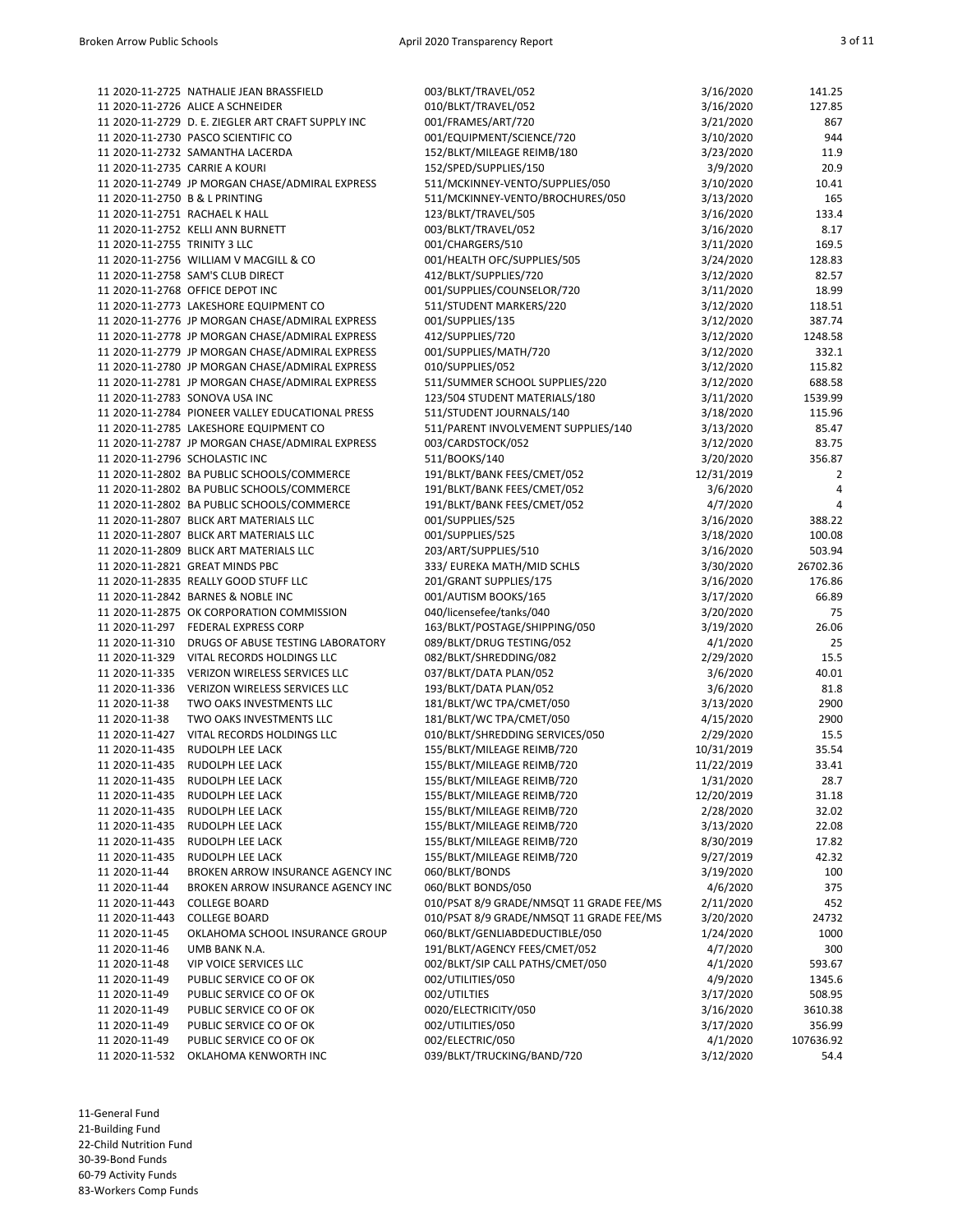|                                | 11 2020-11-2725 NATHALIE JEAN BRASSFIELD           | 003/BLKT/TRAVEL/052                      | 3/16/2020  | 141.25    |
|--------------------------------|----------------------------------------------------|------------------------------------------|------------|-----------|
|                                | 11 2020-11-2726 ALICE A SCHNEIDER                  | 010/BLKT/TRAVEL/052                      | 3/16/2020  | 127.85    |
|                                | 11 2020-11-2729 D. E. ZIEGLER ART CRAFT SUPPLY INC | 001/FRAMES/ART/720                       | 3/21/2020  | 867       |
|                                | 11 2020-11-2730 PASCO SCIENTIFIC CO                | 001/EQUIPMENT/SCIENCE/720                | 3/10/2020  | 944       |
|                                | 11 2020-11-2732 SAMANTHA LACERDA                   | 152/BLKT/MILEAGE REIMB/180               | 3/23/2020  | 11.9      |
| 11 2020-11-2735 CARRIE A KOURI |                                                    | 152/SPED/SUPPLIES/150                    | 3/9/2020   | 20.9      |
|                                | 11 2020-11-2749 JP MORGAN CHASE/ADMIRAL EXPRESS    | 511/MCKINNEY-VENTO/SUPPLIES/050          | 3/10/2020  | 10.41     |
| 11 2020-11-2750 B & L PRINTING |                                                    | 511/MCKINNEY-VENTO/BROCHURES/050         | 3/13/2020  | 165       |
| 11 2020-11-2751 RACHAEL K HALL |                                                    | 123/BLKT/TRAVEL/505                      | 3/16/2020  | 133.4     |
|                                | 11 2020-11-2752 KELLI ANN BURNETT                  | 003/BLKT/TRAVEL/052                      | 3/16/2020  | 8.17      |
| 11 2020-11-2755 TRINITY 3 LLC  |                                                    | 001/CHARGERS/510                         | 3/11/2020  | 169.5     |
|                                | 11 2020-11-2756 WILLIAM V MACGILL & CO             | 001/HEALTH OFC/SUPPLIES/505              | 3/24/2020  | 128.83    |
|                                | 11 2020-11-2758 SAM'S CLUB DIRECT                  | 412/BLKT/SUPPLIES/720                    | 3/12/2020  | 82.57     |
|                                | 11 2020-11-2768 OFFICE DEPOT INC                   | 001/SUPPLIES/COUNSELOR/720               | 3/11/2020  | 18.99     |
|                                | 11 2020-11-2773 LAKESHORE EQUIPMENT CO             | 511/STUDENT MARKERS/220                  | 3/12/2020  | 118.51    |
|                                | 11 2020-11-2776 JP MORGAN CHASE/ADMIRAL EXPRESS    | 001/SUPPLIES/135                         | 3/12/2020  | 387.74    |
|                                | 11 2020-11-2778 JP MORGAN CHASE/ADMIRAL EXPRESS    | 412/SUPPLIES/720                         | 3/12/2020  | 1248.58   |
|                                | 11 2020-11-2779 JP MORGAN CHASE/ADMIRAL EXPRESS    | 001/SUPPLIES/MATH/720                    | 3/12/2020  | 332.1     |
|                                | 11 2020-11-2780 JP MORGAN CHASE/ADMIRAL EXPRESS    | 010/SUPPLIES/052                         | 3/12/2020  | 115.82    |
|                                | 11 2020-11-2781 JP MORGAN CHASE/ADMIRAL EXPRESS    | 511/SUMMER SCHOOL SUPPLIES/220           | 3/12/2020  | 688.58    |
|                                | 11 2020-11-2783 SONOVA USA INC                     | 123/504 STUDENT MATERIALS/180            | 3/11/2020  | 1539.99   |
|                                | 11 2020-11-2784 PIONEER VALLEY EDUCATIONAL PRESS   | 511/STUDENT JOURNALS/140                 | 3/18/2020  | 115.96    |
|                                | 11 2020-11-2785 LAKESHORE EQUIPMENT CO             | 511/PARENT INVOLVEMENT SUPPLIES/140      | 3/13/2020  | 85.47     |
|                                | 11 2020-11-2787 JP MORGAN CHASE/ADMIRAL EXPRESS    | 003/CARDSTOCK/052                        | 3/12/2020  | 83.75     |
| 11 2020-11-2796 SCHOLASTIC INC |                                                    | 511/BOOKS/140                            | 3/20/2020  | 356.87    |
|                                | 11 2020-11-2802 BA PUBLIC SCHOOLS/COMMERCE         | 191/BLKT/BANK FEES/CMET/052              | 12/31/2019 | 2         |
|                                | 11 2020-11-2802 BA PUBLIC SCHOOLS/COMMERCE         | 191/BLKT/BANK FEES/CMET/052              | 3/6/2020   | 4         |
|                                | 11 2020-11-2802 BA PUBLIC SCHOOLS/COMMERCE         | 191/BLKT/BANK FEES/CMET/052              | 4/7/2020   | 4         |
|                                | 11 2020-11-2807 BLICK ART MATERIALS LLC            | 001/SUPPLIES/525                         | 3/16/2020  | 388.22    |
|                                | 11 2020-11-2807 BLICK ART MATERIALS LLC            | 001/SUPPLIES/525                         | 3/18/2020  | 100.08    |
|                                | 11 2020-11-2809 BLICK ART MATERIALS LLC            | 203/ART/SUPPLIES/510                     | 3/16/2020  | 503.94    |
|                                | 11 2020-11-2821 GREAT MINDS PBC                    | 333/ EUREKA MATH/MID SCHLS               | 3/30/2020  | 26702.36  |
|                                | 11 2020-11-2835 REALLY GOOD STUFF LLC              | 201/GRANT SUPPLIES/175                   | 3/16/2020  | 176.86    |
|                                | 11 2020-11-2842 BARNES & NOBLE INC                 | 001/AUTISM BOOKS/165                     | 3/17/2020  | 66.89     |
|                                | 11 2020-11-2875 OK CORPORATION COMMISSION          | 040/licensefee/tanks/040                 | 3/20/2020  | 75        |
|                                | 11 2020-11-297 FEDERAL EXPRESS CORP                | 163/BLKT/POSTAGE/SHIPPING/050            | 3/19/2020  | 26.06     |
|                                | 11 2020-11-310 DRUGS OF ABUSE TESTING LABORATORY   | 089/BLKT/DRUG TESTING/052                | 4/1/2020   | 25        |
|                                | 11 2020-11-329 VITAL RECORDS HOLDINGS LLC          | 082/BLKT/SHREDDING/082                   | 2/29/2020  | 15.5      |
|                                | 11 2020-11-335 VERIZON WIRELESS SERVICES LLC       | 037/BLKT/DATA PLAN/052                   | 3/6/2020   | 40.01     |
|                                | 11 2020-11-336 VERIZON WIRELESS SERVICES LLC       | 193/BLKT/DATA PLAN/052                   | 3/6/2020   | 81.8      |
| 11 2020-11-38                  | TWO OAKS INVESTMENTS LLC                           | 181/BLKT/WC TPA/CMET/050                 | 3/13/2020  | 2900      |
| 11 2020-11-38                  | TWO OAKS INVESTMENTS LLC                           | 181/BLKT/WC TPA/CMET/050                 | 4/15/2020  | 2900      |
| 11 2020-11-427                 | VITAL RECORDS HOLDINGS LLC                         | 010/BLKT/SHREDDING SERVICES/050          | 2/29/2020  | 15.5      |
|                                | 11 2020-11-435 RUDOLPH LEE LACK                    | 155/BLKT/MILEAGE REIMB/720               | 10/31/2019 | 35.54     |
|                                | 11 2020-11-435 RUDOLPH LEE LACK                    | 155/BLKT/MILEAGE REIMB/720               | 11/22/2019 | 33.41     |
|                                | 11 2020-11-435 RUDOLPH LEE LACK                    | 155/BLKT/MILEAGE REIMB/720               | 1/31/2020  | 28.7      |
| 11 2020-11-435                 | RUDOLPH LEE LACK                                   | 155/BLKT/MILEAGE REIMB/720               | 12/20/2019 | 31.18     |
| 11 2020-11-435                 | RUDOLPH LEE LACK                                   | 155/BLKT/MILEAGE REIMB/720               | 2/28/2020  | 32.02     |
| 11 2020-11-435                 | RUDOLPH LEE LACK                                   | 155/BLKT/MILEAGE REIMB/720               | 3/13/2020  | 22.08     |
| 11 2020-11-435                 | RUDOLPH LEE LACK                                   | 155/BLKT/MILEAGE REIMB/720               | 8/30/2019  | 17.82     |
| 11 2020-11-435                 | RUDOLPH LEE LACK                                   | 155/BLKT/MILEAGE REIMB/720               | 9/27/2019  | 42.32     |
| 11 2020-11-44                  | BROKEN ARROW INSURANCE AGENCY INC                  | 060/BLKT/BONDS                           | 3/19/2020  | 100       |
| 11 2020-11-44                  | BROKEN ARROW INSURANCE AGENCY INC                  | 060/BLKT BONDS/050                       | 4/6/2020   | 375       |
| 11 2020-11-443                 | <b>COLLEGE BOARD</b>                               | 010/PSAT 8/9 GRADE/NMSQT 11 GRADE FEE/MS | 2/11/2020  | 452       |
| 11 2020-11-443                 | <b>COLLEGE BOARD</b>                               | 010/PSAT 8/9 GRADE/NMSQT 11 GRADE FEE/MS | 3/20/2020  | 24732     |
| 11 2020-11-45                  | OKLAHOMA SCHOOL INSURANCE GROUP                    | 060/BLKT/GENLIABDEDUCTIBLE/050           | 1/24/2020  | 1000      |
| 11 2020-11-46                  | UMB BANK N.A.                                      | 191/BLKT/AGENCY FEES/CMET/052            | 4/7/2020   | 300       |
| 11 2020-11-48                  | VIP VOICE SERVICES LLC                             | 002/BLKT/SIP CALL PATHS/CMET/050         | 4/1/2020   | 593.67    |
| 11 2020-11-49                  | PUBLIC SERVICE CO OF OK                            | 002/UTILITIES/050                        | 4/9/2020   | 1345.6    |
| 11 2020-11-49                  | PUBLIC SERVICE CO OF OK                            | 002/UTILTIES                             | 3/17/2020  | 508.95    |
| 11 2020-11-49                  | PUBLIC SERVICE CO OF OK                            | 0020/ELECTRICITY/050                     | 3/16/2020  | 3610.38   |
| 11 2020-11-49                  | PUBLIC SERVICE CO OF OK                            | 002/UTILITIES/050                        | 3/17/2020  | 356.99    |
| 11 2020-11-49                  | PUBLIC SERVICE CO OF OK                            | 002/ELECTRIC/050                         | 4/1/2020   | 107636.92 |
| 11 2020-11-532                 | OKLAHOMA KENWORTH INC                              | 039/BLKT/TRUCKING/BAND/720               | 3/12/2020  | 54.4      |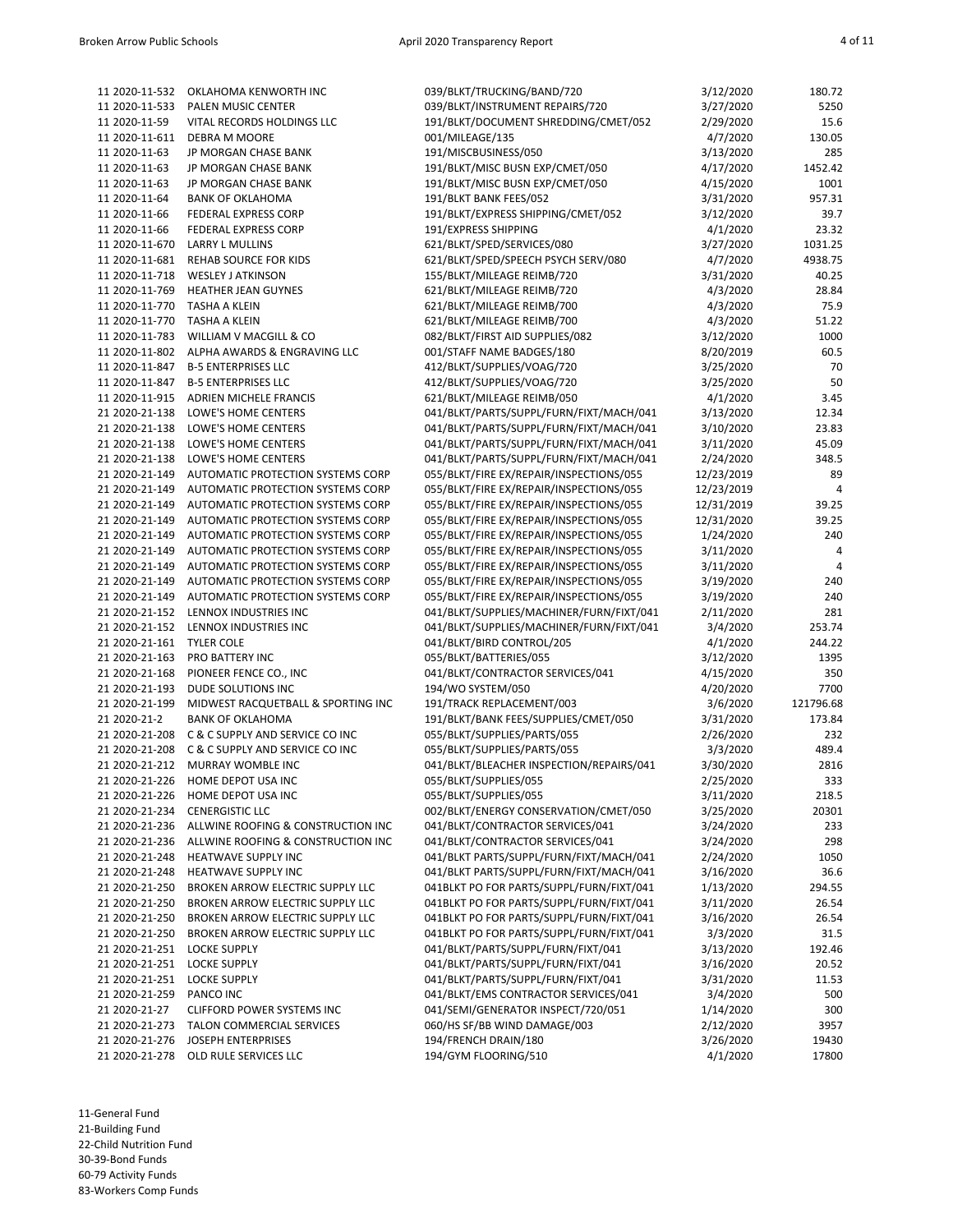| 11 2020-11-532 | OKLAHOMA KENWORTH INC              | 039/BLKT/TRUCKING/BAND/720               | 3/12/2020  | 180.72    |
|----------------|------------------------------------|------------------------------------------|------------|-----------|
| 11 2020-11-533 | <b>PALEN MUSIC CENTER</b>          | 039/BLKT/INSTRUMENT REPAIRS/720          | 3/27/2020  | 5250      |
| 11 2020-11-59  | VITAL RECORDS HOLDINGS LLC         | 191/BLKT/DOCUMENT SHREDDING/CMET/052     | 2/29/2020  | 15.6      |
| 11 2020-11-611 | DEBRA M MOORE                      | 001/MILEAGE/135                          | 4/7/2020   | 130.05    |
| 11 2020-11-63  | JP MORGAN CHASE BANK               | 191/MISCBUSINESS/050                     | 3/13/2020  | 285       |
|                |                                    |                                          |            |           |
| 11 2020-11-63  | <b>JP MORGAN CHASE BANK</b>        | 191/BLKT/MISC BUSN EXP/CMET/050          | 4/17/2020  | 1452.42   |
| 11 2020-11-63  | JP MORGAN CHASE BANK               | 191/BLKT/MISC BUSN EXP/CMET/050          | 4/15/2020  | 1001      |
| 11 2020-11-64  | <b>BANK OF OKLAHOMA</b>            | 191/BLKT BANK FEES/052                   | 3/31/2020  | 957.31    |
| 11 2020-11-66  | FEDERAL EXPRESS CORP               | 191/BLKT/EXPRESS SHIPPING/CMET/052       | 3/12/2020  | 39.7      |
| 11 2020-11-66  | FEDERAL EXPRESS CORP               | 191/EXPRESS SHIPPING                     | 4/1/2020   | 23.32     |
|                |                                    |                                          |            |           |
| 11 2020-11-670 | LARRY L MULLINS                    | 621/BLKT/SPED/SERVICES/080               | 3/27/2020  | 1031.25   |
| 11 2020-11-681 | <b>REHAB SOURCE FOR KIDS</b>       | 621/BLKT/SPED/SPEECH PSYCH SERV/080      | 4/7/2020   | 4938.75   |
| 11 2020-11-718 | <b>WESLEY J ATKINSON</b>           | 155/BLKT/MILEAGE REIMB/720               | 3/31/2020  | 40.25     |
| 11 2020-11-769 | HEATHER JEAN GUYNES                | 621/BLKT/MILEAGE REIMB/720               | 4/3/2020   | 28.84     |
| 11 2020-11-770 | <b>TASHA A KLEIN</b>               | 621/BLKT/MILEAGE REIMB/700               | 4/3/2020   | 75.9      |
|                |                                    |                                          |            |           |
| 11 2020-11-770 | TASHA A KLEIN                      | 621/BLKT/MILEAGE REIMB/700               | 4/3/2020   | 51.22     |
| 11 2020-11-783 | WILLIAM V MACGILL & CO             | 082/BLKT/FIRST AID SUPPLIES/082          | 3/12/2020  | 1000      |
| 11 2020-11-802 | ALPHA AWARDS & ENGRAVING LLC       | 001/STAFF NAME BADGES/180                | 8/20/2019  | 60.5      |
| 11 2020-11-847 | <b>B-5 ENTERPRISES LLC</b>         | 412/BLKT/SUPPLIES/VOAG/720               | 3/25/2020  | 70        |
| 11 2020-11-847 | <b>B-5 ENTERPRISES LLC</b>         | 412/BLKT/SUPPLIES/VOAG/720               | 3/25/2020  | 50        |
|                |                                    | 621/BLKT/MILEAGE REIMB/050               |            |           |
| 11 2020-11-915 | ADRIEN MICHELE FRANCIS             |                                          | 4/1/2020   | 3.45      |
| 21 2020-21-138 | LOWE'S HOME CENTERS                | 041/BLKT/PARTS/SUPPL/FURN/FIXT/MACH/041  | 3/13/2020  | 12.34     |
| 21 2020-21-138 | LOWE'S HOME CENTERS                | 041/BLKT/PARTS/SUPPL/FURN/FIXT/MACH/041  | 3/10/2020  | 23.83     |
| 21 2020-21-138 | LOWE'S HOME CENTERS                | 041/BLKT/PARTS/SUPPL/FURN/FIXT/MACH/041  | 3/11/2020  | 45.09     |
| 21 2020-21-138 | LOWE'S HOME CENTERS                | 041/BLKT/PARTS/SUPPL/FURN/FIXT/MACH/041  | 2/24/2020  | 348.5     |
| 21 2020-21-149 | AUTOMATIC PROTECTION SYSTEMS CORP  | 055/BLKT/FIRE EX/REPAIR/INSPECTIONS/055  | 12/23/2019 | 89        |
|                |                                    |                                          |            |           |
| 21 2020-21-149 | AUTOMATIC PROTECTION SYSTEMS CORP  | 055/BLKT/FIRE EX/REPAIR/INSPECTIONS/055  | 12/23/2019 | 4         |
| 21 2020-21-149 | AUTOMATIC PROTECTION SYSTEMS CORP  | 055/BLKT/FIRE EX/REPAIR/INSPECTIONS/055  | 12/31/2019 | 39.25     |
| 21 2020-21-149 | AUTOMATIC PROTECTION SYSTEMS CORP  | 055/BLKT/FIRE EX/REPAIR/INSPECTIONS/055  | 12/31/2020 | 39.25     |
| 21 2020-21-149 | AUTOMATIC PROTECTION SYSTEMS CORP  | 055/BLKT/FIRE EX/REPAIR/INSPECTIONS/055  | 1/24/2020  | 240       |
| 21 2020-21-149 | AUTOMATIC PROTECTION SYSTEMS CORP  | 055/BLKT/FIRE EX/REPAIR/INSPECTIONS/055  | 3/11/2020  | 4         |
|                |                                    |                                          |            |           |
| 21 2020-21-149 | AUTOMATIC PROTECTION SYSTEMS CORP  | 055/BLKT/FIRE EX/REPAIR/INSPECTIONS/055  | 3/11/2020  | 4         |
| 21 2020-21-149 | AUTOMATIC PROTECTION SYSTEMS CORP  | 055/BLKT/FIRE EX/REPAIR/INSPECTIONS/055  | 3/19/2020  | 240       |
| 21 2020-21-149 | AUTOMATIC PROTECTION SYSTEMS CORP  | 055/BLKT/FIRE EX/REPAIR/INSPECTIONS/055  | 3/19/2020  | 240       |
| 21 2020-21-152 | LENNOX INDUSTRIES INC              | 041/BLKT/SUPPLIES/MACHINER/FURN/FIXT/041 | 2/11/2020  | 281       |
| 21 2020-21-152 | LENNOX INDUSTRIES INC              | 041/BLKT/SUPPLIES/MACHINER/FURN/FIXT/041 | 3/4/2020   | 253.74    |
|                |                                    |                                          |            |           |
| 21 2020-21-161 | <b>TYLER COLE</b>                  | 041/BLKT/BIRD CONTROL/205                | 4/1/2020   | 244.22    |
| 21 2020-21-163 | PRO BATTERY INC                    | 055/BLKT/BATTERIES/055                   | 3/12/2020  | 1395      |
| 21 2020-21-168 | PIONEER FENCE CO., INC             | 041/BLKT/CONTRACTOR SERVICES/041         | 4/15/2020  | 350       |
| 21 2020-21-193 | DUDE SOLUTIONS INC                 | 194/WO SYSTEM/050                        | 4/20/2020  | 7700      |
| 21 2020-21-199 | MIDWEST RACQUETBALL & SPORTING INC | 191/TRACK REPLACEMENT/003                | 3/6/2020   | 121796.68 |
|                |                                    |                                          | 3/31/2020  | 173.84    |
| 21 2020-21-2   | <b>BANK OF OKLAHOMA</b>            | 191/BLKT/BANK FEES/SUPPLIES/CMET/050     |            |           |
| 21 2020-21-208 | C & C SUPPLY AND SERVICE CO INC    | 055/BLKT/SUPPLIES/PARTS/055              | 2/26/2020  | 232       |
| 21 2020-21-208 | C & C SUPPLY AND SERVICE CO INC    | 055/BLKT/SUPPLIES/PARTS/055              | 3/3/2020   | 489.4     |
| 21 2020-21-212 | <b>MURRAY WOMBLE INC</b>           | 041/BLKT/BLEACHER INSPECTION/REPAIRS/041 | 3/30/2020  | 2816      |
|                | 21 2020-21-226 HOME DEPOT USA INC  | 055/BLKT/SUPPLIES/055                    | 2/25/2020  | 333       |
| 21 2020-21-226 | HOME DEPOT USA INC                 | 055/BLKT/SUPPLIES/055                    |            | 218.5     |
|                |                                    |                                          | 3/11/2020  |           |
| 21 2020-21-234 | <b>CENERGISTIC LLC</b>             | 002/BLKT/ENERGY CONSERVATION/CMET/050    | 3/25/2020  | 20301     |
| 21 2020-21-236 | ALLWINE ROOFING & CONSTRUCTION INC | 041/BLKT/CONTRACTOR SERVICES/041         | 3/24/2020  | 233       |
| 21 2020-21-236 | ALLWINE ROOFING & CONSTRUCTION INC | 041/BLKT/CONTRACTOR SERVICES/041         | 3/24/2020  | 298       |
| 21 2020-21-248 | HEATWAVE SUPPLY INC                | 041/BLKT PARTS/SUPPL/FURN/FIXT/MACH/041  | 2/24/2020  | 1050      |
| 21 2020-21-248 | HEATWAVE SUPPLY INC                | 041/BLKT PARTS/SUPPL/FURN/FIXT/MACH/041  | 3/16/2020  | 36.6      |
|                |                                    |                                          |            |           |
| 21 2020-21-250 | BROKEN ARROW ELECTRIC SUPPLY LLC   | 041BLKT PO FOR PARTS/SUPPL/FURN/FIXT/041 | 1/13/2020  | 294.55    |
| 21 2020-21-250 | BROKEN ARROW ELECTRIC SUPPLY LLC   | 041BLKT PO FOR PARTS/SUPPL/FURN/FIXT/041 | 3/11/2020  | 26.54     |
| 21 2020-21-250 | BROKEN ARROW ELECTRIC SUPPLY LLC   | 041BLKT PO FOR PARTS/SUPPL/FURN/FIXT/041 | 3/16/2020  | 26.54     |
| 21 2020-21-250 | BROKEN ARROW ELECTRIC SUPPLY LLC   | 041BLKT PO FOR PARTS/SUPPL/FURN/FIXT/041 | 3/3/2020   | 31.5      |
| 21 2020-21-251 | <b>LOCKE SUPPLY</b>                | 041/BLKT/PARTS/SUPPL/FURN/FIXT/041       | 3/13/2020  | 192.46    |
|                |                                    | 041/BLKT/PARTS/SUPPL/FURN/FIXT/041       |            |           |
| 21 2020-21-251 | <b>LOCKE SUPPLY</b>                |                                          | 3/16/2020  | 20.52     |
| 21 2020-21-251 | <b>LOCKE SUPPLY</b>                | 041/BLKT/PARTS/SUPPL/FURN/FIXT/041       | 3/31/2020  | 11.53     |
| 21 2020-21-259 | PANCO INC                          | 041/BLKT/EMS CONTRACTOR SERVICES/041     | 3/4/2020   | 500       |
| 21 2020-21-27  | CLIFFORD POWER SYSTEMS INC         | 041/SEMI/GENERATOR INSPECT/720/051       | 1/14/2020  | 300       |
| 21 2020-21-273 | TALON COMMERCIAL SERVICES          | 060/HS SF/BB WIND DAMAGE/003             | 2/12/2020  | 3957      |
| 21 2020-21-276 | <b>JOSEPH ENTERPRISES</b>          | 194/FRENCH DRAIN/180                     | 3/26/2020  | 19430     |
|                |                                    |                                          |            |           |
| 21 2020-21-278 | OLD RULE SERVICES LLC              | 194/GYM FLOORING/510                     | 4/1/2020   | 17800     |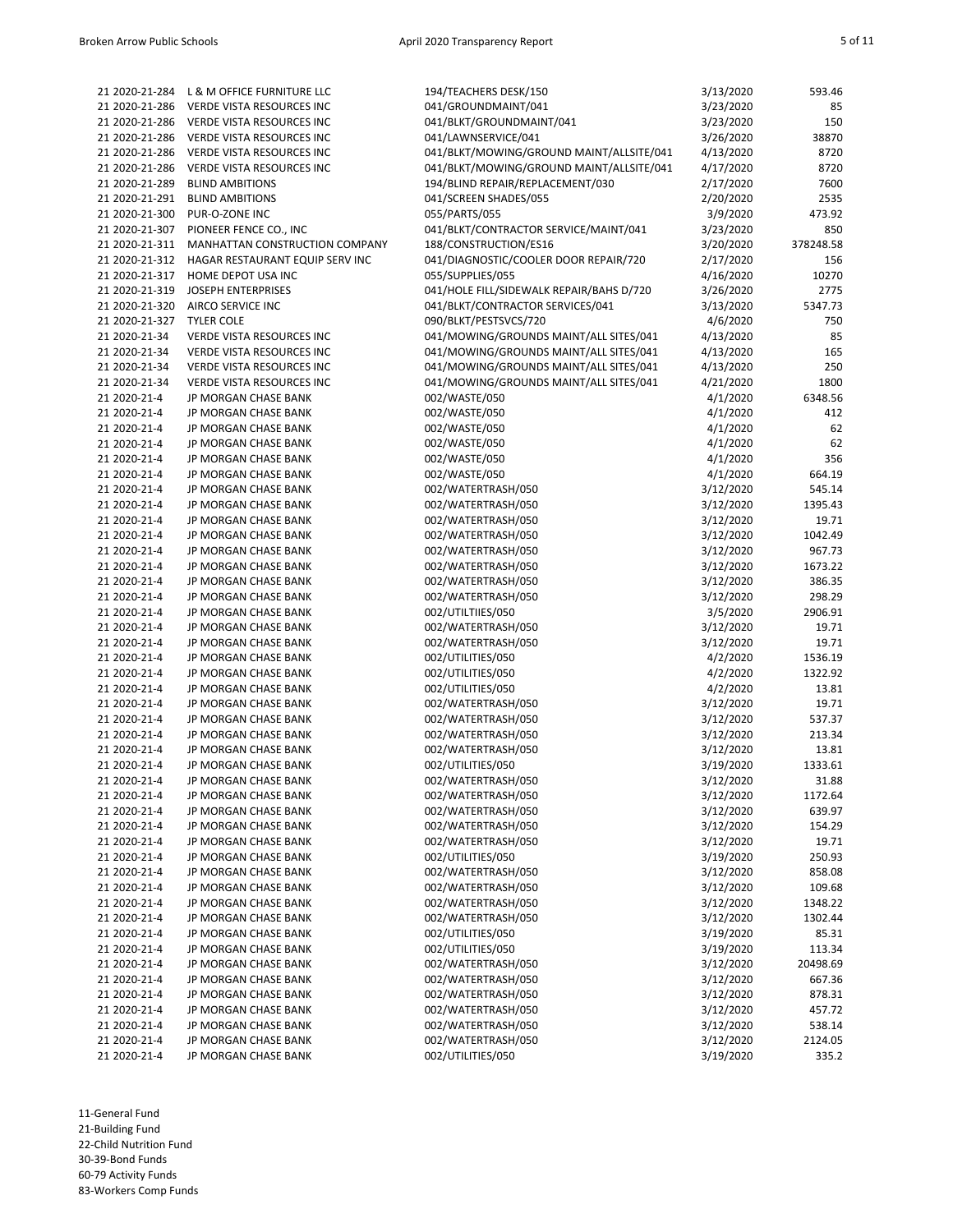| 21 2020-21-284 | L & M OFFICE FURNITURE LLC       | 194/TEACHERS DESK/150                    | 3/13/2020 | 593.46    |
|----------------|----------------------------------|------------------------------------------|-----------|-----------|
| 21 2020-21-286 | VERDE VISTA RESOURCES INC        | 041/GROUNDMAINT/041                      | 3/23/2020 | 85        |
| 21 2020-21-286 | VERDE VISTA RESOURCES INC        | 041/BLKT/GROUNDMAINT/041                 | 3/23/2020 | 150       |
| 21 2020-21-286 | VERDE VISTA RESOURCES INC        | 041/LAWNSERVICE/041                      | 3/26/2020 | 38870     |
|                |                                  | 041/BLKT/MOWING/GROUND MAINT/ALLSITE/041 | 4/13/2020 | 8720      |
| 21 2020-21-286 | VERDE VISTA RESOURCES INC        |                                          |           |           |
| 21 2020-21-286 | VERDE VISTA RESOURCES INC        | 041/BLKT/MOWING/GROUND MAINT/ALLSITE/041 | 4/17/2020 | 8720      |
| 21 2020-21-289 | <b>BLIND AMBITIONS</b>           | 194/BLIND REPAIR/REPLACEMENT/030         | 2/17/2020 | 7600      |
| 21 2020-21-291 | <b>BLIND AMBITIONS</b>           | 041/SCREEN SHADES/055                    | 2/20/2020 | 2535      |
| 21 2020-21-300 | PUR-O-ZONE INC                   | 055/PARTS/055                            | 3/9/2020  | 473.92    |
| 21 2020-21-307 | PIONEER FENCE CO., INC           | 041/BLKT/CONTRACTOR SERVICE/MAINT/041    | 3/23/2020 | 850       |
| 21 2020-21-311 | MANHATTAN CONSTRUCTION COMPANY   | 188/CONSTRUCTION/ES16                    | 3/20/2020 | 378248.58 |
|                |                                  |                                          |           |           |
| 21 2020-21-312 | HAGAR RESTAURANT EQUIP SERV INC  | 041/DIAGNOSTIC/COOLER DOOR REPAIR/720    | 2/17/2020 | 156       |
| 21 2020-21-317 | HOME DEPOT USA INC               | 055/SUPPLIES/055                         | 4/16/2020 | 10270     |
| 21 2020-21-319 | <b>JOSEPH ENTERPRISES</b>        | 041/HOLE FILL/SIDEWALK REPAIR/BAHS D/720 | 3/26/2020 | 2775      |
| 21 2020-21-320 | AIRCO SERVICE INC                | 041/BLKT/CONTRACTOR SERVICES/041         | 3/13/2020 | 5347.73   |
| 21 2020-21-327 | <b>TYLER COLE</b>                | 090/BLKT/PESTSVCS/720                    | 4/6/2020  | 750       |
| 21 2020-21-34  | VERDE VISTA RESOURCES INC        | 041/MOWING/GROUNDS MAINT/ALL SITES/041   | 4/13/2020 | 85        |
|                |                                  |                                          |           |           |
| 21 2020-21-34  | VERDE VISTA RESOURCES INC        | 041/MOWING/GROUNDS MAINT/ALL SITES/041   | 4/13/2020 | 165       |
| 21 2020-21-34  | VERDE VISTA RESOURCES INC        | 041/MOWING/GROUNDS MAINT/ALL SITES/041   | 4/13/2020 | 250       |
| 21 2020-21-34  | <b>VERDE VISTA RESOURCES INC</b> | 041/MOWING/GROUNDS MAINT/ALL SITES/041   | 4/21/2020 | 1800      |
| 21 2020-21-4   | JP MORGAN CHASE BANK             | 002/WASTE/050                            | 4/1/2020  | 6348.56   |
| 21 2020-21-4   | JP MORGAN CHASE BANK             | 002/WASTE/050                            | 4/1/2020  | 412       |
| 21 2020-21-4   | JP MORGAN CHASE BANK             | 002/WASTE/050                            | 4/1/2020  | 62        |
|                | JP MORGAN CHASE BANK             | 002/WASTE/050                            |           | 62        |
| 21 2020-21-4   |                                  |                                          | 4/1/2020  |           |
| 21 2020-21-4   | JP MORGAN CHASE BANK             | 002/WASTE/050                            | 4/1/2020  | 356       |
| 21 2020-21-4   | JP MORGAN CHASE BANK             | 002/WASTE/050                            | 4/1/2020  | 664.19    |
| 21 2020-21-4   | JP MORGAN CHASE BANK             | 002/WATERTRASH/050                       | 3/12/2020 | 545.14    |
| 21 2020-21-4   | JP MORGAN CHASE BANK             | 002/WATERTRASH/050                       | 3/12/2020 | 1395.43   |
| 21 2020-21-4   | JP MORGAN CHASE BANK             | 002/WATERTRASH/050                       | 3/12/2020 | 19.71     |
| 21 2020-21-4   | JP MORGAN CHASE BANK             | 002/WATERTRASH/050                       | 3/12/2020 | 1042.49   |
|                |                                  |                                          |           |           |
| 21 2020-21-4   | JP MORGAN CHASE BANK             | 002/WATERTRASH/050                       | 3/12/2020 | 967.73    |
| 21 2020-21-4   | JP MORGAN CHASE BANK             | 002/WATERTRASH/050                       | 3/12/2020 | 1673.22   |
| 21 2020-21-4   | JP MORGAN CHASE BANK             | 002/WATERTRASH/050                       | 3/12/2020 | 386.35    |
| 21 2020-21-4   | JP MORGAN CHASE BANK             | 002/WATERTRASH/050                       | 3/12/2020 | 298.29    |
| 21 2020-21-4   | JP MORGAN CHASE BANK             | 002/UTILTIIES/050                        | 3/5/2020  | 2906.91   |
| 21 2020-21-4   | JP MORGAN CHASE BANK             | 002/WATERTRASH/050                       | 3/12/2020 | 19.71     |
|                |                                  |                                          |           |           |
| 21 2020-21-4   | JP MORGAN CHASE BANK             | 002/WATERTRASH/050                       | 3/12/2020 | 19.71     |
| 21 2020-21-4   | JP MORGAN CHASE BANK             | 002/UTILITIES/050                        | 4/2/2020  | 1536.19   |
| 21 2020-21-4   | JP MORGAN CHASE BANK             | 002/UTILITIES/050                        | 4/2/2020  | 1322.92   |
| 21 2020-21-4   | JP MORGAN CHASE BANK             | 002/UTILITIES/050                        | 4/2/2020  | 13.81     |
| 21 2020-21-4   | JP MORGAN CHASE BANK             | 002/WATERTRASH/050                       | 3/12/2020 | 19.71     |
| 21 2020-21-4   | JP MORGAN CHASE BANK             | 002/WATERTRASH/050                       | 3/12/2020 | 537.37    |
| 21 2020-21-4   | JP MORGAN CHASE BANK             | 002/WATERTRASH/050                       | 3/12/2020 | 213.34    |
| 21 2020-21-4   |                                  | 002/WATERTRASH/050                       |           |           |
|                | JP MORGAN CHASE BANK             |                                          | 3/12/2020 | 13.81     |
| 21 2020-21-4   | JP MORGAN CHASE BANK             | 002/UTILITIES/050                        | 3/19/2020 | 1333.61   |
| 21 2020-21-4   | JP MORGAN CHASE BANK             | 002/WATERTRASH/050                       | 3/12/2020 | 31.88     |
| 21 2020-21-4   | JP MORGAN CHASE BANK             | 002/WATERTRASH/050                       | 3/12/2020 | 1172.64   |
| 21 2020-21-4   | JP MORGAN CHASE BANK             | 002/WATERTRASH/050                       | 3/12/2020 | 639.97    |
| 21 2020-21-4   | JP MORGAN CHASE BANK             | 002/WATERTRASH/050                       | 3/12/2020 | 154.29    |
| 21 2020-21-4   | JP MORGAN CHASE BANK             | 002/WATERTRASH/050                       | 3/12/2020 | 19.71     |
|                |                                  |                                          |           |           |
| 21 2020-21-4   | JP MORGAN CHASE BANK             | 002/UTILITIES/050                        | 3/19/2020 | 250.93    |
| 21 2020-21-4   | JP MORGAN CHASE BANK             | 002/WATERTRASH/050                       | 3/12/2020 | 858.08    |
| 21 2020-21-4   | JP MORGAN CHASE BANK             | 002/WATERTRASH/050                       | 3/12/2020 | 109.68    |
| 21 2020-21-4   | JP MORGAN CHASE BANK             | 002/WATERTRASH/050                       | 3/12/2020 | 1348.22   |
| 21 2020-21-4   | JP MORGAN CHASE BANK             | 002/WATERTRASH/050                       | 3/12/2020 | 1302.44   |
| 21 2020-21-4   | JP MORGAN CHASE BANK             | 002/UTILITIES/050                        | 3/19/2020 | 85.31     |
| 21 2020-21-4   | JP MORGAN CHASE BANK             | 002/UTILITIES/050                        | 3/19/2020 | 113.34    |
|                | JP MORGAN CHASE BANK             |                                          |           |           |
| 21 2020-21-4   |                                  | 002/WATERTRASH/050                       | 3/12/2020 | 20498.69  |
| 21 2020-21-4   | JP MORGAN CHASE BANK             | 002/WATERTRASH/050                       | 3/12/2020 | 667.36    |
| 21 2020-21-4   | JP MORGAN CHASE BANK             | 002/WATERTRASH/050                       | 3/12/2020 | 878.31    |
| 21 2020-21-4   | JP MORGAN CHASE BANK             | 002/WATERTRASH/050                       | 3/12/2020 | 457.72    |
| 21 2020-21-4   | JP MORGAN CHASE BANK             | 002/WATERTRASH/050                       | 3/12/2020 | 538.14    |
| 21 2020-21-4   | JP MORGAN CHASE BANK             | 002/WATERTRASH/050                       | 3/12/2020 | 2124.05   |
| 21 2020-21-4   | JP MORGAN CHASE BANK             | 002/UTILITIES/050                        | 3/19/2020 | 335.2     |
|                |                                  |                                          |           |           |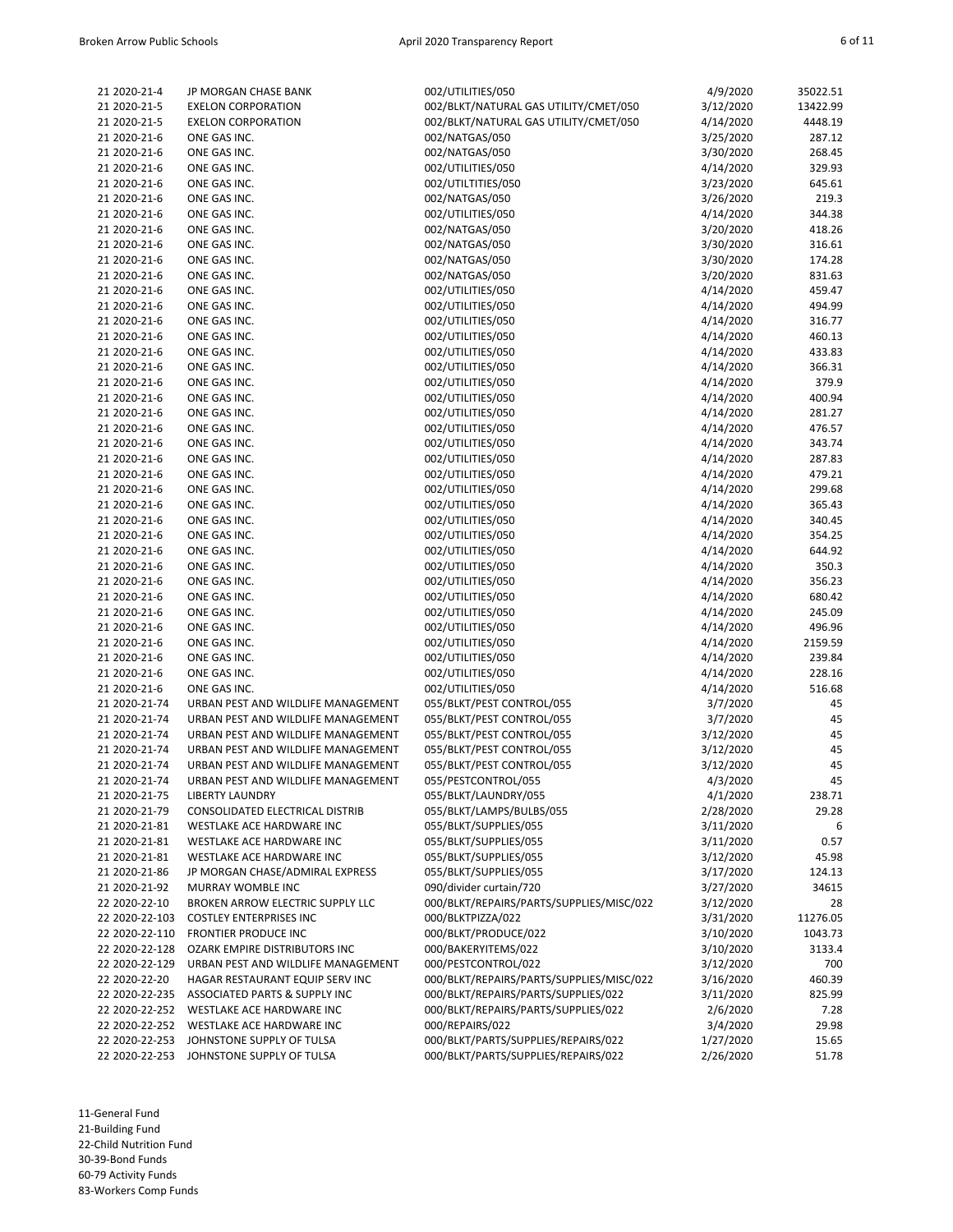| 21 2020-21-4   | JP MORGAN CHASE BANK               | 002/UTILITIES/050                        | 4/9/2020  | 35022.51 |
|----------------|------------------------------------|------------------------------------------|-----------|----------|
| 21 2020-21-5   | <b>EXELON CORPORATION</b>          | 002/BLKT/NATURAL GAS UTILITY/CMET/050    | 3/12/2020 | 13422.99 |
| 21 2020-21-5   | <b>EXELON CORPORATION</b>          | 002/BLKT/NATURAL GAS UTILITY/CMET/050    | 4/14/2020 | 4448.19  |
| 21 2020-21-6   | ONE GAS INC.                       | 002/NATGAS/050                           | 3/25/2020 | 287.12   |
|                |                                    |                                          |           |          |
| 21 2020-21-6   | ONE GAS INC.                       | 002/NATGAS/050                           | 3/30/2020 | 268.45   |
| 21 2020-21-6   | ONE GAS INC.                       | 002/UTILITIES/050                        | 4/14/2020 | 329.93   |
| 21 2020-21-6   | ONE GAS INC.                       | 002/UTILTITIES/050                       | 3/23/2020 | 645.61   |
| 21 2020-21-6   | ONE GAS INC.                       | 002/NATGAS/050                           | 3/26/2020 | 219.3    |
| 21 2020-21-6   | ONE GAS INC.                       | 002/UTILITIES/050                        | 4/14/2020 | 344.38   |
|                |                                    |                                          |           |          |
| 21 2020-21-6   | ONE GAS INC.                       | 002/NATGAS/050                           | 3/20/2020 | 418.26   |
| 21 2020-21-6   | ONE GAS INC.                       | 002/NATGAS/050                           | 3/30/2020 | 316.61   |
| 21 2020-21-6   | ONE GAS INC.                       | 002/NATGAS/050                           | 3/30/2020 | 174.28   |
| 21 2020-21-6   | ONE GAS INC.                       | 002/NATGAS/050                           | 3/20/2020 | 831.63   |
| 21 2020-21-6   | ONE GAS INC.                       | 002/UTILITIES/050                        | 4/14/2020 | 459.47   |
|                |                                    | 002/UTILITIES/050                        |           |          |
| 21 2020-21-6   | ONE GAS INC.                       |                                          | 4/14/2020 | 494.99   |
| 21 2020-21-6   | ONE GAS INC.                       | 002/UTILITIES/050                        | 4/14/2020 | 316.77   |
| 21 2020-21-6   | ONE GAS INC.                       | 002/UTILITIES/050                        | 4/14/2020 | 460.13   |
| 21 2020-21-6   | ONE GAS INC.                       | 002/UTILITIES/050                        | 4/14/2020 | 433.83   |
| 21 2020-21-6   | ONE GAS INC.                       | 002/UTILITIES/050                        | 4/14/2020 | 366.31   |
| 21 2020-21-6   | ONE GAS INC.                       | 002/UTILITIES/050                        | 4/14/2020 | 379.9    |
|                |                                    |                                          |           |          |
| 21 2020-21-6   | ONE GAS INC.                       | 002/UTILITIES/050                        | 4/14/2020 | 400.94   |
| 21 2020-21-6   | ONE GAS INC.                       | 002/UTILITIES/050                        | 4/14/2020 | 281.27   |
| 21 2020-21-6   | ONE GAS INC.                       | 002/UTILITIES/050                        | 4/14/2020 | 476.57   |
| 21 2020-21-6   | ONE GAS INC.                       | 002/UTILITIES/050                        | 4/14/2020 | 343.74   |
| 21 2020-21-6   |                                    |                                          |           |          |
|                | ONE GAS INC.                       | 002/UTILITIES/050                        | 4/14/2020 | 287.83   |
| 21 2020-21-6   | ONE GAS INC.                       | 002/UTILITIES/050                        | 4/14/2020 | 479.21   |
| 21 2020-21-6   | ONE GAS INC.                       | 002/UTILITIES/050                        | 4/14/2020 | 299.68   |
| 21 2020-21-6   | ONE GAS INC.                       | 002/UTILITIES/050                        | 4/14/2020 | 365.43   |
| 21 2020-21-6   | ONE GAS INC.                       | 002/UTILITIES/050                        | 4/14/2020 | 340.45   |
| 21 2020-21-6   | ONE GAS INC.                       | 002/UTILITIES/050                        | 4/14/2020 | 354.25   |
|                |                                    |                                          |           |          |
| 21 2020-21-6   | ONE GAS INC.                       | 002/UTILITIES/050                        | 4/14/2020 | 644.92   |
| 21 2020-21-6   | ONE GAS INC.                       | 002/UTILITIES/050                        | 4/14/2020 | 350.3    |
| 21 2020-21-6   | ONE GAS INC.                       | 002/UTILITIES/050                        | 4/14/2020 | 356.23   |
| 21 2020-21-6   | ONE GAS INC.                       | 002/UTILITIES/050                        | 4/14/2020 | 680.42   |
| 21 2020-21-6   | ONE GAS INC.                       | 002/UTILITIES/050                        | 4/14/2020 | 245.09   |
|                |                                    |                                          |           |          |
| 21 2020-21-6   | ONE GAS INC.                       | 002/UTILITIES/050                        | 4/14/2020 | 496.96   |
| 21 2020-21-6   | ONE GAS INC.                       | 002/UTILITIES/050                        | 4/14/2020 | 2159.59  |
| 21 2020-21-6   | ONE GAS INC.                       | 002/UTILITIES/050                        | 4/14/2020 | 239.84   |
| 21 2020-21-6   | ONE GAS INC.                       | 002/UTILITIES/050                        | 4/14/2020 | 228.16   |
| 21 2020-21-6   | ONE GAS INC.                       | 002/UTILITIES/050                        | 4/14/2020 | 516.68   |
| 21 2020-21-74  | URBAN PEST AND WILDLIFE MANAGEMENT | 055/BLKT/PEST CONTROL/055                | 3/7/2020  | 45       |
|                |                                    |                                          |           |          |
| 21 2020-21-74  | URBAN PEST AND WILDLIFE MANAGEMENT | 055/BLKT/PEST CONTROL/055                | 3/7/2020  | 45       |
| 21 2020-21-74  | URBAN PEST AND WILDLIFE MANAGEMENT | 055/BLKT/PEST CONTROL/055                | 3/12/2020 | 45       |
| 21 2020-21-74  | URBAN PEST AND WILDLIFE MANAGEMENT | 055/BLKT/PEST CONTROL/055                | 3/12/2020 | 45       |
| 21 2020-21-74  | URBAN PEST AND WILDLIFE MANAGEMENT | 055/BLKT/PEST CONTROL/055                | 3/12/2020 | 45       |
| 21 2020-21-74  | URBAN PEST AND WILDLIFE MANAGEMENT | 055/PESTCONTROL/055                      | 4/3/2020  | 45       |
|                |                                    |                                          |           |          |
| 21 2020-21-75  | <b>LIBERTY LAUNDRY</b>             | 055/BLKT/LAUNDRY/055                     | 4/1/2020  | 238.71   |
| 21 2020-21-79  | CONSOLIDATED ELECTRICAL DISTRIB    | 055/BLKT/LAMPS/BULBS/055                 | 2/28/2020 | 29.28    |
| 21 2020-21-81  | WESTLAKE ACE HARDWARE INC          | 055/BLKT/SUPPLIES/055                    | 3/11/2020 | 6        |
| 21 2020-21-81  | WESTLAKE ACE HARDWARE INC          | 055/BLKT/SUPPLIES/055                    | 3/11/2020 | 0.57     |
| 21 2020-21-81  | WESTLAKE ACE HARDWARE INC          | 055/BLKT/SUPPLIES/055                    | 3/12/2020 | 45.98    |
| 21 2020-21-86  | JP MORGAN CHASE/ADMIRAL EXPRESS    | 055/BLKT/SUPPLIES/055                    |           |          |
|                |                                    |                                          | 3/17/2020 | 124.13   |
| 21 2020-21-92  | MURRAY WOMBLE INC                  | 090/divider curtain/720                  | 3/27/2020 | 34615    |
| 22 2020-22-10  | BROKEN ARROW ELECTRIC SUPPLY LLC   | 000/BLKT/REPAIRS/PARTS/SUPPLIES/MISC/022 | 3/12/2020 | 28       |
| 22 2020-22-103 | <b>COSTLEY ENTERPRISES INC</b>     | 000/BLKTPIZZA/022                        | 3/31/2020 | 11276.05 |
| 22 2020-22-110 | <b>FRONTIER PRODUCE INC</b>        | 000/BLKT/PRODUCE/022                     | 3/10/2020 | 1043.73  |
| 22 2020-22-128 | OZARK EMPIRE DISTRIBUTORS INC      | 000/BAKERYITEMS/022                      | 3/10/2020 | 3133.4   |
|                |                                    |                                          |           |          |
| 22 2020-22-129 | URBAN PEST AND WILDLIFE MANAGEMENT | 000/PESTCONTROL/022                      | 3/12/2020 | 700      |
| 22 2020-22-20  | HAGAR RESTAURANT EQUIP SERV INC    | 000/BLKT/REPAIRS/PARTS/SUPPLIES/MISC/022 | 3/16/2020 | 460.39   |
| 22 2020-22-235 | ASSOCIATED PARTS & SUPPLY INC      | 000/BLKT/REPAIRS/PARTS/SUPPLIES/022      | 3/11/2020 | 825.99   |
| 22 2020-22-252 | WESTLAKE ACE HARDWARE INC          | 000/BLKT/REPAIRS/PARTS/SUPPLIES/022      | 2/6/2020  | 7.28     |
| 22 2020-22-252 | WESTLAKE ACE HARDWARE INC          | 000/REPAIRS/022                          | 3/4/2020  | 29.98    |
| 22 2020-22-253 | JOHNSTONE SUPPLY OF TULSA          | 000/BLKT/PARTS/SUPPLIES/REPAIRS/022      | 1/27/2020 | 15.65    |
|                |                                    |                                          |           |          |
| 22 2020-22-253 | JOHNSTONE SUPPLY OF TULSA          | 000/BLKT/PARTS/SUPPLIES/REPAIRS/022      | 2/26/2020 | 51.78    |

‐General Fund ‐Building Fund ‐Child Nutrition Fund ‐39‐Bond Funds ‐79 Activity Funds

83‐Workers Comp Funds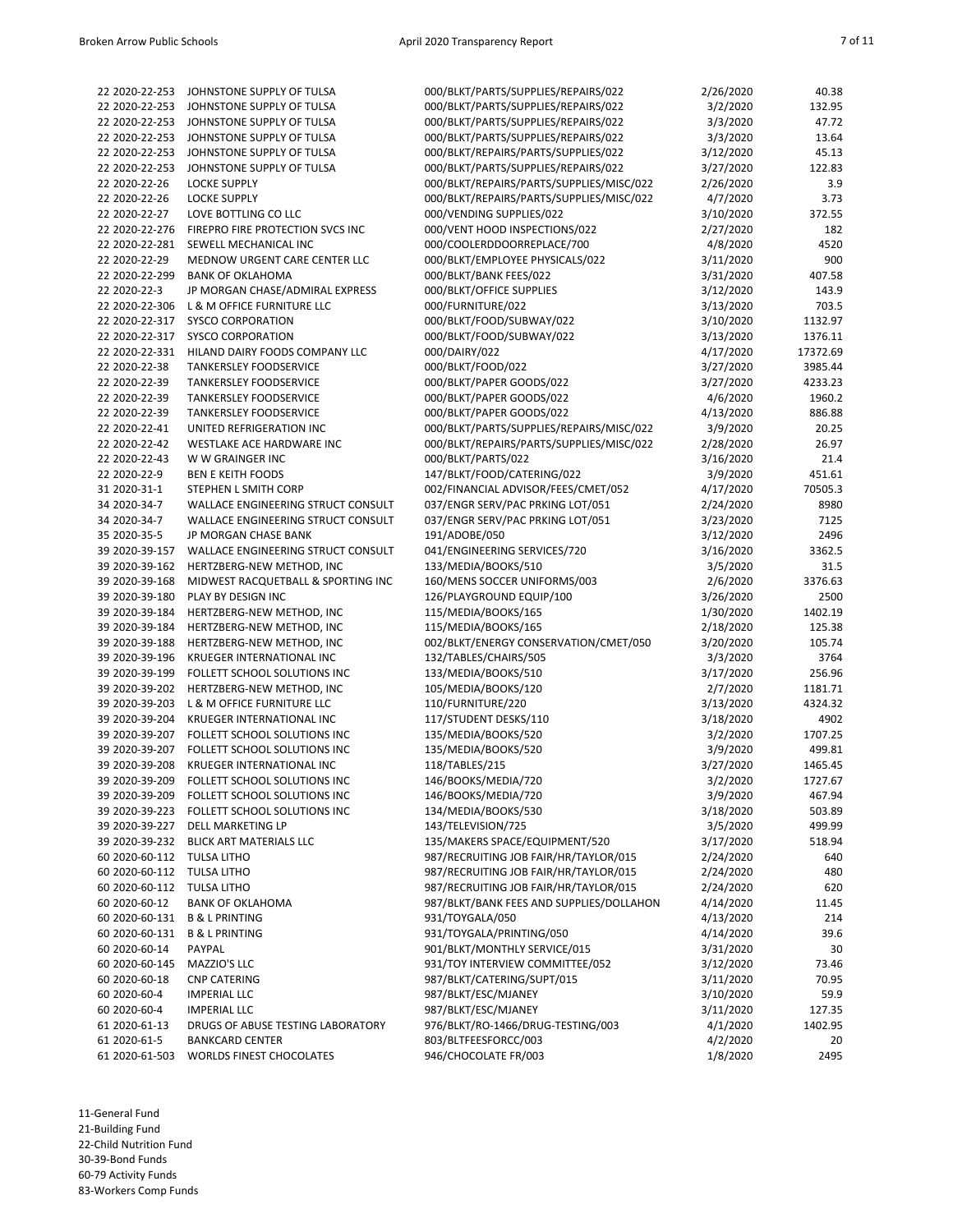| 22 2020-22-253 | JOHNSTONE SUPPLY OF TULSA                   | 000/BLKT/PARTS/SUPPLIES/REPAIRS/022      | 2/26/2020 | 40.38    |
|----------------|---------------------------------------------|------------------------------------------|-----------|----------|
| 22 2020-22-253 | JOHNSTONE SUPPLY OF TULSA                   | 000/BLKT/PARTS/SUPPLIES/REPAIRS/022      | 3/2/2020  | 132.95   |
| 22 2020-22-253 | JOHNSTONE SUPPLY OF TULSA                   | 000/BLKT/PARTS/SUPPLIES/REPAIRS/022      | 3/3/2020  | 47.72    |
| 22 2020-22-253 | JOHNSTONE SUPPLY OF TULSA                   | 000/BLKT/PARTS/SUPPLIES/REPAIRS/022      | 3/3/2020  | 13.64    |
|                |                                             |                                          |           |          |
| 22 2020-22-253 | JOHNSTONE SUPPLY OF TULSA                   | 000/BLKT/REPAIRS/PARTS/SUPPLIES/022      | 3/12/2020 | 45.13    |
| 22 2020-22-253 | JOHNSTONE SUPPLY OF TULSA                   | 000/BLKT/PARTS/SUPPLIES/REPAIRS/022      | 3/27/2020 | 122.83   |
| 22 2020-22-26  | <b>LOCKE SUPPLY</b>                         | 000/BLKT/REPAIRS/PARTS/SUPPLIES/MISC/022 | 2/26/2020 | 3.9      |
| 22 2020-22-26  | <b>LOCKE SUPPLY</b>                         | 000/BLKT/REPAIRS/PARTS/SUPPLIES/MISC/022 | 4/7/2020  | 3.73     |
| 22 2020-22-27  | LOVE BOTTLING CO LLC                        | 000/VENDING SUPPLIES/022                 | 3/10/2020 | 372.55   |
|                |                                             |                                          |           |          |
| 22 2020-22-276 | FIREPRO FIRE PROTECTION SVCS INC            | 000/VENT HOOD INSPECTIONS/022            | 2/27/2020 | 182      |
| 22 2020-22-281 | SEWELL MECHANICAL INC                       | 000/COOLERDDOORREPLACE/700               | 4/8/2020  | 4520     |
| 22 2020-22-29  | MEDNOW URGENT CARE CENTER LLC               | 000/BLKT/EMPLOYEE PHYSICALS/022          | 3/11/2020 | 900      |
| 22 2020-22-299 | <b>BANK OF OKLAHOMA</b>                     | 000/BLKT/BANK FEES/022                   | 3/31/2020 | 407.58   |
| 22 2020-22-3   | JP MORGAN CHASE/ADMIRAL EXPRESS             | 000/BLKT/OFFICE SUPPLIES                 | 3/12/2020 | 143.9    |
| 22 2020-22-306 | L & M OFFICE FURNITURE LLC                  | 000/FURNITURE/022                        |           | 703.5    |
|                |                                             |                                          | 3/13/2020 |          |
| 22 2020-22-317 | <b>SYSCO CORPORATION</b>                    | 000/BLKT/FOOD/SUBWAY/022                 | 3/10/2020 | 1132.97  |
| 22 2020-22-317 | <b>SYSCO CORPORATION</b>                    | 000/BLKT/FOOD/SUBWAY/022                 | 3/13/2020 | 1376.11  |
| 22 2020-22-331 | HILAND DAIRY FOODS COMPANY LLC              | 000/DAIRY/022                            | 4/17/2020 | 17372.69 |
| 22 2020-22-38  | <b>TANKERSLEY FOODSERVICE</b>               | 000/BLKT/FOOD/022                        | 3/27/2020 | 3985.44  |
| 22 2020-22-39  | TANKERSLEY FOODSERVICE                      | 000/BLKT/PAPER GOODS/022                 | 3/27/2020 | 4233.23  |
|                |                                             |                                          |           |          |
| 22 2020-22-39  | TANKERSLEY FOODSERVICE                      | 000/BLKT/PAPER GOODS/022                 | 4/6/2020  | 1960.2   |
| 22 2020-22-39  | TANKERSLEY FOODSERVICE                      | 000/BLKT/PAPER GOODS/022                 | 4/13/2020 | 886.88   |
| 22 2020-22-41  | UNITED REFRIGERATION INC                    | 000/BLKT/PARTS/SUPPLIES/REPAIRS/MISC/022 | 3/9/2020  | 20.25    |
| 22 2020-22-42  | WESTLAKE ACE HARDWARE INC                   | 000/BLKT/REPAIRS/PARTS/SUPPLIES/MISC/022 | 2/28/2020 | 26.97    |
| 22 2020-22-43  | W W GRAINGER INC                            | 000/BLKT/PARTS/022                       | 3/16/2020 | 21.4     |
| 22 2020-22-9   | <b>BEN E KEITH FOODS</b>                    | 147/BLKT/FOOD/CATERING/022               |           | 451.61   |
|                |                                             |                                          | 3/9/2020  |          |
| 31 2020-31-1   | STEPHEN L SMITH CORP                        | 002/FINANCIAL ADVISOR/FEES/CMET/052      | 4/17/2020 | 70505.3  |
| 34 2020-34-7   | WALLACE ENGINEERING STRUCT CONSULT          | 037/ENGR SERV/PAC PRKING LOT/051         | 2/24/2020 | 8980     |
| 34 2020-34-7   | <b>WALLACE ENGINEERING STRUCT CONSULT</b>   | 037/ENGR SERV/PAC PRKING LOT/051         | 3/23/2020 | 7125     |
| 35 2020-35-5   | JP MORGAN CHASE BANK                        | 191/ADOBE/050                            | 3/12/2020 | 2496     |
| 39 2020-39-157 | WALLACE ENGINEERING STRUCT CONSULT          | 041/ENGINEERING SERVICES/720             | 3/16/2020 | 3362.5   |
|                |                                             |                                          | 3/5/2020  | 31.5     |
| 39 2020-39-162 | HERTZBERG-NEW METHOD, INC                   | 133/MEDIA/BOOKS/510                      |           |          |
| 39 2020-39-168 | MIDWEST RACQUETBALL & SPORTING INC          | 160/MENS SOCCER UNIFORMS/003             | 2/6/2020  | 3376.63  |
| 39 2020-39-180 | PLAY BY DESIGN INC                          | 126/PLAYGROUND EQUIP/100                 | 3/26/2020 | 2500     |
| 39 2020-39-184 | HERTZBERG-NEW METHOD, INC                   | 115/MEDIA/BOOKS/165                      | 1/30/2020 | 1402.19  |
| 39 2020-39-184 | HERTZBERG-NEW METHOD, INC                   | 115/MEDIA/BOOKS/165                      | 2/18/2020 | 125.38   |
| 39 2020-39-188 | HERTZBERG-NEW METHOD, INC                   | 002/BLKT/ENERGY CONSERVATION/CMET/050    | 3/20/2020 | 105.74   |
|                |                                             |                                          |           |          |
| 39 2020-39-196 | <b>KRUEGER INTERNATIONAL INC</b>            | 132/TABLES/CHAIRS/505                    | 3/3/2020  | 3764     |
| 39 2020-39-199 | FOLLETT SCHOOL SOLUTIONS INC                | 133/MEDIA/BOOKS/510                      | 3/17/2020 | 256.96   |
| 39 2020-39-202 | HERTZBERG-NEW METHOD, INC                   | 105/MEDIA/BOOKS/120                      | 2/7/2020  | 1181.71  |
| 39 2020-39-203 | L & M OFFICE FURNITURE LLC                  | 110/FURNITURE/220                        | 3/13/2020 | 4324.32  |
| 39 2020-39-204 | <b>KRUEGER INTERNATIONAL INC</b>            | 117/STUDENT DESKS/110                    | 3/18/2020 | 4902     |
| 39 2020-39-207 | FOLLETT SCHOOL SOLUTIONS INC                | 135/MEDIA/BOOKS/520                      | 3/2/2020  | 1707.25  |
|                |                                             |                                          |           |          |
| 39 2020-39-207 | FOLLETT SCHOOL SOLUTIONS INC                | 135/MEDIA/BOOKS/520                      | 3/9/2020  | 499.81   |
| 39 2020-39-208 | <b>KRUEGER INTERNATIONAL INC</b>            | 118/TABLES/215                           | 3/27/2020 | 1465.45  |
|                | 39 2020-39-209 FOLLETT SCHOOL SOLUTIONS INC | 146/BOOKS/MEDIA/720                      | 3/2/2020  | 1727.67  |
|                | 39 2020-39-209 FOLLETT SCHOOL SOLUTIONS INC | 146/BOOKS/MEDIA/720                      | 3/9/2020  | 467.94   |
| 39 2020-39-223 | FOLLETT SCHOOL SOLUTIONS INC                | 134/MEDIA/BOOKS/530                      | 3/18/2020 | 503.89   |
| 39 2020-39-227 | <b>DELL MARKETING LP</b>                    | 143/TELEVISION/725                       | 3/5/2020  | 499.99   |
|                |                                             |                                          |           |          |
| 39 2020-39-232 | BLICK ART MATERIALS LLC                     | 135/MAKERS SPACE/EQUIPMENT/520           | 3/17/2020 | 518.94   |
| 60 2020-60-112 | TULSA LITHO                                 | 987/RECRUITING JOB FAIR/HR/TAYLOR/015    | 2/24/2020 | 640      |
| 60 2020-60-112 | TULSA LITHO                                 | 987/RECRUITING JOB FAIR/HR/TAYLOR/015    | 2/24/2020 | 480      |
| 60 2020-60-112 | TULSA LITHO                                 | 987/RECRUITING JOB FAIR/HR/TAYLOR/015    | 2/24/2020 | 620      |
| 60 2020-60-12  | <b>BANK OF OKLAHOMA</b>                     | 987/BLKT/BANK FEES AND SUPPLIES/DOLLAHON | 4/14/2020 | 11.45    |
| 60 2020-60-131 | <b>B &amp; L PRINTING</b>                   | 931/TOYGALA/050                          | 4/13/2020 |          |
|                |                                             |                                          |           | 214      |
| 60 2020-60-131 | <b>B &amp; L PRINTING</b>                   | 931/TOYGALA/PRINTING/050                 | 4/14/2020 | 39.6     |
| 60 2020-60-14  | PAYPAL                                      | 901/BLKT/MONTHLY SERVICE/015             | 3/31/2020 | 30       |
| 60 2020-60-145 | MAZZIO'S LLC                                | 931/TOY INTERVIEW COMMITTEE/052          | 3/12/2020 | 73.46    |
| 60 2020-60-18  | <b>CNP CATERING</b>                         | 987/BLKT/CATERING/SUPT/015               | 3/11/2020 | 70.95    |
| 60 2020-60-4   | <b>IMPERIAL LLC</b>                         | 987/BLKT/ESC/MJANEY                      | 3/10/2020 | 59.9     |
|                |                                             | 987/BLKT/ESC/MJANEY                      |           |          |
| 60 2020-60-4   | <b>IMPERIAL LLC</b>                         |                                          | 3/11/2020 | 127.35   |
| 61 2020-61-13  | DRUGS OF ABUSE TESTING LABORATORY           | 976/BLKT/RO-1466/DRUG-TESTING/003        | 4/1/2020  | 1402.95  |
| 61 2020-61-5   | <b>BANKCARD CENTER</b>                      | 803/BLTFEESFORCC/003                     | 4/2/2020  | 20       |
| 61 2020-61-503 | <b>WORLDS FINEST CHOCOLATES</b>             | 946/CHOCOLATE FR/003                     | 1/8/2020  | 2495     |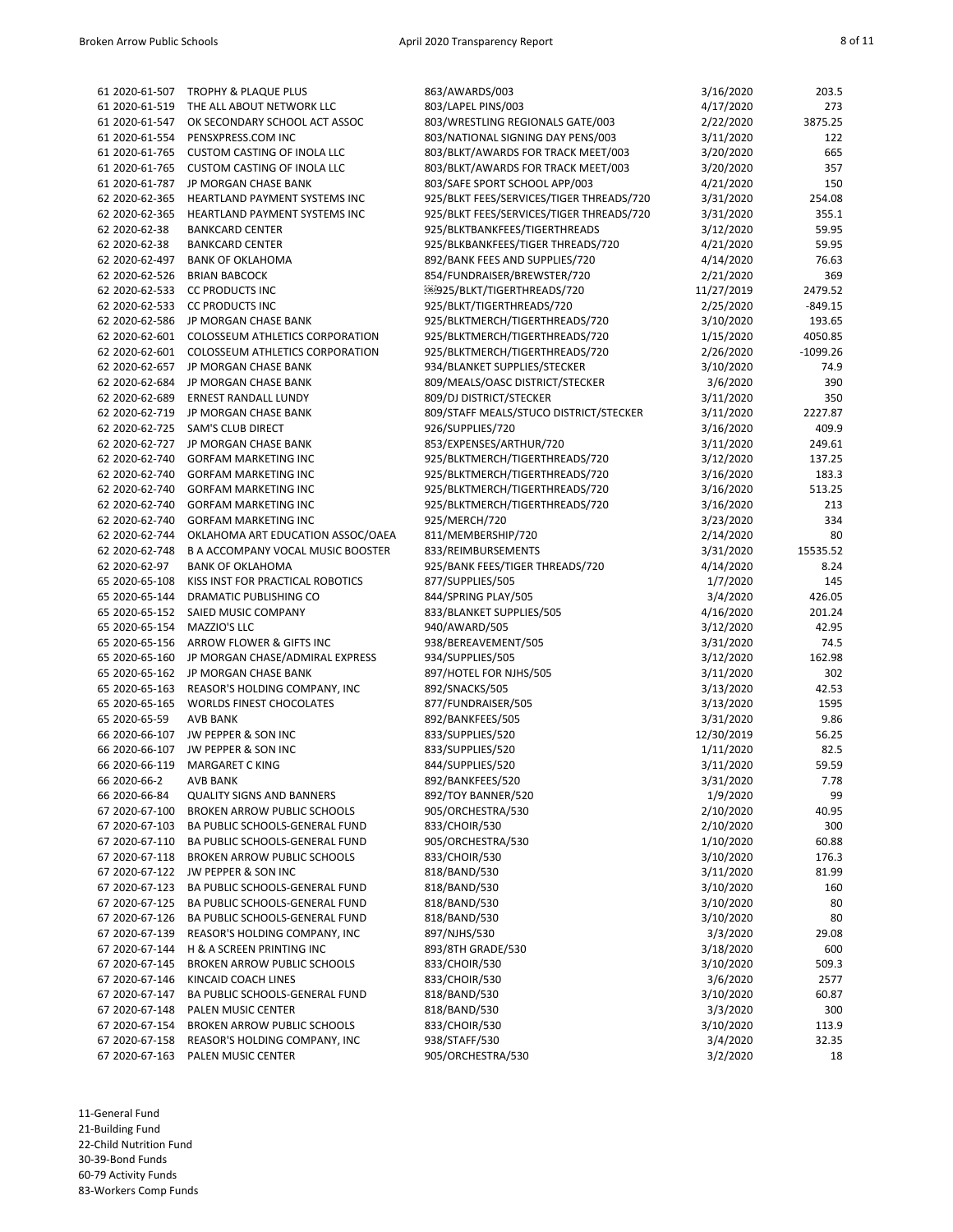| 61 2020-61-507 | TROPHY & PLAQUE PLUS                     | 863/AWARDS/003                           | 3/16/2020  | 203.5      |
|----------------|------------------------------------------|------------------------------------------|------------|------------|
| 61 2020-61-519 | THE ALL ABOUT NETWORK LLC                | 803/LAPEL PINS/003                       | 4/17/2020  | 273        |
| 61 2020-61-547 | OK SECONDARY SCHOOL ACT ASSOC            | 803/WRESTLING REGIONALS GATE/003         | 2/22/2020  | 3875.25    |
| 61 2020-61-554 | PENSXPRESS.COM INC                       | 803/NATIONAL SIGNING DAY PENS/003        | 3/11/2020  | 122        |
| 61 2020-61-765 | <b>CUSTOM CASTING OF INOLA LLC</b>       | 803/BLKT/AWARDS FOR TRACK MEET/003       | 3/20/2020  | 665        |
| 61 2020-61-765 | <b>CUSTOM CASTING OF INOLA LLC</b>       | 803/BLKT/AWARDS FOR TRACK MEET/003       | 3/20/2020  | 357        |
| 61 2020-61-787 | JP MORGAN CHASE BANK                     | 803/SAFE SPORT SCHOOL APP/003            | 4/21/2020  | 150        |
| 62 2020-62-365 | HEARTLAND PAYMENT SYSTEMS INC            | 925/BLKT FEES/SERVICES/TIGER THREADS/720 | 3/31/2020  | 254.08     |
| 62 2020-62-365 | HEARTLAND PAYMENT SYSTEMS INC            | 925/BLKT FEES/SERVICES/TIGER THREADS/720 | 3/31/2020  | 355.1      |
| 62 2020-62-38  | <b>BANKCARD CENTER</b>                   | 925/BLKTBANKFEES/TIGERTHREADS            | 3/12/2020  | 59.95      |
| 62 2020-62-38  | <b>BANKCARD CENTER</b>                   | 925/BLKBANKFEES/TIGER THREADS/720        | 4/21/2020  | 59.95      |
| 62 2020-62-497 | <b>BANK OF OKLAHOMA</b>                  | 892/BANK FEES AND SUPPLIES/720           | 4/14/2020  | 76.63      |
|                |                                          |                                          |            |            |
| 62 2020-62-526 | <b>BRIAN BABCOCK</b>                     | 854/FUNDRAISER/BREWSTER/720              | 2/21/2020  | 369        |
| 62 2020-62-533 | <b>CC PRODUCTS INC</b>                   | @@925/BLKT/TIGERTHREADS/720              | 11/27/2019 | 2479.52    |
| 62 2020-62-533 | <b>CC PRODUCTS INC</b>                   | 925/BLKT/TIGERTHREADS/720                | 2/25/2020  | $-849.15$  |
| 62 2020-62-586 | JP MORGAN CHASE BANK                     | 925/BLKTMERCH/TIGERTHREADS/720           | 3/10/2020  | 193.65     |
| 62 2020-62-601 | COLOSSEUM ATHLETICS CORPORATION          | 925/BLKTMERCH/TIGERTHREADS/720           | 1/15/2020  | 4050.85    |
| 62 2020-62-601 | COLOSSEUM ATHLETICS CORPORATION          | 925/BLKTMERCH/TIGERTHREADS/720           | 2/26/2020  | $-1099.26$ |
| 62 2020-62-657 | JP MORGAN CHASE BANK                     | 934/BLANKET SUPPLIES/STECKER             | 3/10/2020  | 74.9       |
| 62 2020-62-684 | JP MORGAN CHASE BANK                     | 809/MEALS/OASC DISTRICT/STECKER          | 3/6/2020   | 390        |
| 62 2020-62-689 | ERNEST RANDALL LUNDY                     | 809/DJ DISTRICT/STECKER                  | 3/11/2020  | 350        |
| 62 2020-62-719 | JP MORGAN CHASE BANK                     | 809/STAFF MEALS/STUCO DISTRICT/STECKER   | 3/11/2020  | 2227.87    |
| 62 2020-62-725 | <b>SAM'S CLUB DIRECT</b>                 | 926/SUPPLIES/720                         | 3/16/2020  | 409.9      |
| 62 2020-62-727 | JP MORGAN CHASE BANK                     | 853/EXPENSES/ARTHUR/720                  | 3/11/2020  | 249.61     |
| 62 2020-62-740 | <b>GORFAM MARKETING INC</b>              | 925/BLKTMERCH/TIGERTHREADS/720           | 3/12/2020  | 137.25     |
|                |                                          | 925/BLKTMERCH/TIGERTHREADS/720           |            |            |
| 62 2020-62-740 | <b>GORFAM MARKETING INC</b>              |                                          | 3/16/2020  | 183.3      |
| 62 2020-62-740 | <b>GORFAM MARKETING INC</b>              | 925/BLKTMERCH/TIGERTHREADS/720           | 3/16/2020  | 513.25     |
| 62 2020-62-740 | <b>GORFAM MARKETING INC</b>              | 925/BLKTMERCH/TIGERTHREADS/720           | 3/16/2020  | 213        |
| 62 2020-62-740 | <b>GORFAM MARKETING INC</b>              | 925/MERCH/720                            | 3/23/2020  | 334        |
| 62 2020-62-744 | OKLAHOMA ART EDUCATION ASSOC/OAEA        | 811/MEMBERSHIP/720                       | 2/14/2020  | 80         |
| 62 2020-62-748 | <b>B A ACCOMPANY VOCAL MUSIC BOOSTER</b> | 833/REIMBURSEMENTS                       | 3/31/2020  | 15535.52   |
| 62 2020-62-97  | <b>BANK OF OKLAHOMA</b>                  | 925/BANK FEES/TIGER THREADS/720          | 4/14/2020  | 8.24       |
| 65 2020-65-108 | KISS INST FOR PRACTICAL ROBOTICS         | 877/SUPPLIES/505                         | 1/7/2020   | 145        |
| 65 2020-65-144 | DRAMATIC PUBLISHING CO                   | 844/SPRING PLAY/505                      | 3/4/2020   | 426.05     |
| 65 2020-65-152 | SAIED MUSIC COMPANY                      | 833/BLANKET SUPPLIES/505                 | 4/16/2020  | 201.24     |
| 65 2020-65-154 | MAZZIO'S LLC                             | 940/AWARD/505                            | 3/12/2020  | 42.95      |
| 65 2020-65-156 | ARROW FLOWER & GIFTS INC                 | 938/BEREAVEMENT/505                      | 3/31/2020  | 74.5       |
| 65 2020-65-160 | JP MORGAN CHASE/ADMIRAL EXPRESS          | 934/SUPPLIES/505                         | 3/12/2020  | 162.98     |
| 65 2020-65-162 | JP MORGAN CHASE BANK                     | 897/HOTEL FOR NJHS/505                   | 3/11/2020  | 302        |
| 65 2020-65-163 | REASOR'S HOLDING COMPANY, INC            | 892/SNACKS/505                           | 3/13/2020  | 42.53      |
| 65 2020-65-165 | <b>WORLDS FINEST CHOCOLATES</b>          | 877/FUNDRAISER/505                       | 3/13/2020  | 1595       |
|                |                                          |                                          | 3/31/2020  | 9.86       |
| 65 2020-65-59  | <b>AVB BANK</b>                          | 892/BANKFEES/505                         |            |            |
|                | 66 2020-66-107 JW PEPPER & SON INC       | 833/SUPPLIES/520                         | 12/30/2019 | 56.25      |
| 66 2020-66-107 | JW PEPPER & SON INC                      | 833/SUPPLIES/520                         | 1/11/2020  | 82.5       |
| 66 2020-66-119 | <b>MARGARET C KING</b>                   | 844/SUPPLIES/520                         | 3/11/2020  | 59.59      |
| 66 2020-66-2   | <b>AVB BANK</b>                          | 892/BANKFEES/520                         | 3/31/2020  | 7.78       |
| 66 2020-66-84  | <b>QUALITY SIGNS AND BANNERS</b>         | 892/TOY BANNER/520                       | 1/9/2020   | 99         |
| 67 2020-67-100 | <b>BROKEN ARROW PUBLIC SCHOOLS</b>       | 905/ORCHESTRA/530                        | 2/10/2020  | 40.95      |
| 67 2020-67-103 | BA PUBLIC SCHOOLS-GENERAL FUND           | 833/CHOIR/530                            | 2/10/2020  | 300        |
| 67 2020-67-110 | <b>BA PUBLIC SCHOOLS-GENERAL FUND</b>    | 905/ORCHESTRA/530                        | 1/10/2020  | 60.88      |
| 67 2020-67-118 | <b>BROKEN ARROW PUBLIC SCHOOLS</b>       | 833/CHOIR/530                            | 3/10/2020  | 176.3      |
|                | 67 2020-67-122 JW PEPPER & SON INC       | 818/BAND/530                             | 3/11/2020  | 81.99      |
| 67 2020-67-123 | BA PUBLIC SCHOOLS-GENERAL FUND           | 818/BAND/530                             | 3/10/2020  | 160        |
| 67 2020-67-125 | BA PUBLIC SCHOOLS-GENERAL FUND           | 818/BAND/530                             | 3/10/2020  | 80         |
| 67 2020-67-126 | BA PUBLIC SCHOOLS-GENERAL FUND           | 818/BAND/530                             | 3/10/2020  | 80         |
| 67 2020-67-139 | REASOR'S HOLDING COMPANY, INC            | 897/NJHS/530                             | 3/3/2020   | 29.08      |
| 67 2020-67-144 | H & A SCREEN PRINTING INC                | 893/8TH GRADE/530                        | 3/18/2020  | 600        |
|                |                                          |                                          |            |            |
| 67 2020-67-145 | <b>BROKEN ARROW PUBLIC SCHOOLS</b>       | 833/CHOIR/530                            | 3/10/2020  | 509.3      |
| 67 2020-67-146 | KINCAID COACH LINES                      | 833/CHOIR/530                            | 3/6/2020   | 2577       |
| 67 2020-67-147 | BA PUBLIC SCHOOLS-GENERAL FUND           | 818/BAND/530                             | 3/10/2020  | 60.87      |
| 67 2020-67-148 | PALEN MUSIC CENTER                       | 818/BAND/530                             | 3/3/2020   | 300        |
| 67 2020-67-154 | BROKEN ARROW PUBLIC SCHOOLS              | 833/CHOIR/530                            | 3/10/2020  | 113.9      |
| 67 2020-67-158 | REASOR'S HOLDING COMPANY, INC            | 938/STAFF/530                            | 3/4/2020   | 32.35      |
| 67 2020-67-163 | PALEN MUSIC CENTER                       | 905/ORCHESTRA/530                        | 3/2/2020   | 18         |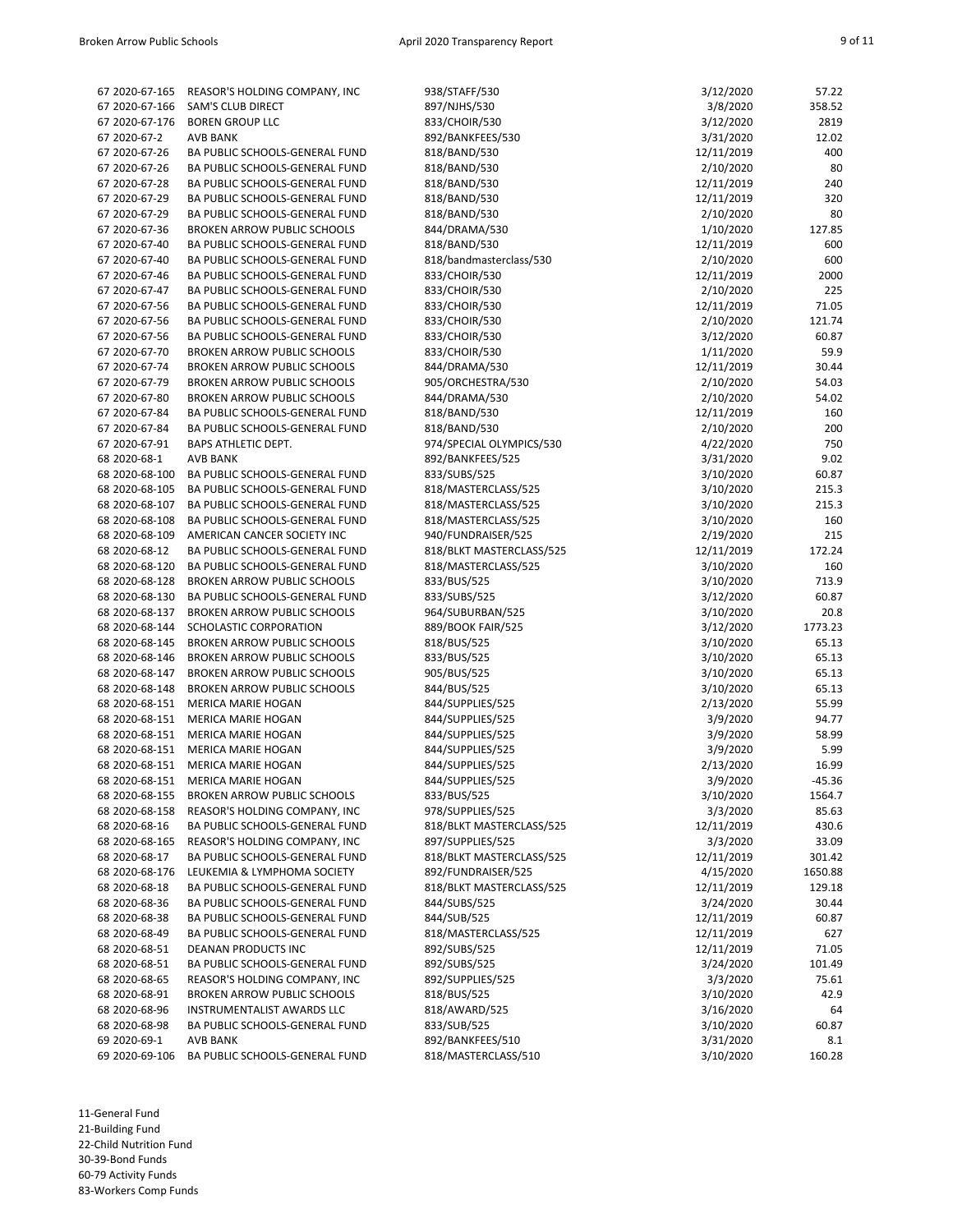| 67 2020-67-165 | REASOR'S HOLDING COMPANY, INC      | 938/STAFF/530            | 3/12/2020  | 57.22    |
|----------------|------------------------------------|--------------------------|------------|----------|
| 67 2020-67-166 | SAM'S CLUB DIRECT                  | 897/NJHS/530             | 3/8/2020   | 358.52   |
| 67 2020-67-176 | <b>BOREN GROUP LLC</b>             | 833/CHOIR/530            | 3/12/2020  | 2819     |
| 67 2020-67-2   | <b>AVB BANK</b>                    | 892/BANKFEES/530         | 3/31/2020  | 12.02    |
| 67 2020-67-26  | BA PUBLIC SCHOOLS-GENERAL FUND     | 818/BAND/530             | 12/11/2019 | 400      |
| 67 2020-67-26  | BA PUBLIC SCHOOLS-GENERAL FUND     | 818/BAND/530             | 2/10/2020  | 80       |
| 67 2020-67-28  | BA PUBLIC SCHOOLS-GENERAL FUND     | 818/BAND/530             | 12/11/2019 | 240      |
|                |                                    |                          |            |          |
| 67 2020-67-29  | BA PUBLIC SCHOOLS-GENERAL FUND     | 818/BAND/530             | 12/11/2019 | 320      |
| 67 2020-67-29  | BA PUBLIC SCHOOLS-GENERAL FUND     | 818/BAND/530             | 2/10/2020  | 80       |
| 67 2020-67-36  | <b>BROKEN ARROW PUBLIC SCHOOLS</b> | 844/DRAMA/530            | 1/10/2020  | 127.85   |
| 67 2020-67-40  | BA PUBLIC SCHOOLS-GENERAL FUND     | 818/BAND/530             | 12/11/2019 | 600      |
| 67 2020-67-40  | BA PUBLIC SCHOOLS-GENERAL FUND     | 818/bandmasterclass/530  | 2/10/2020  | 600      |
| 67 2020-67-46  | BA PUBLIC SCHOOLS-GENERAL FUND     | 833/CHOIR/530            | 12/11/2019 | 2000     |
| 67 2020-67-47  | BA PUBLIC SCHOOLS-GENERAL FUND     | 833/CHOIR/530            | 2/10/2020  | 225      |
| 67 2020-67-56  | BA PUBLIC SCHOOLS-GENERAL FUND     | 833/CHOIR/530            | 12/11/2019 | 71.05    |
| 67 2020-67-56  | BA PUBLIC SCHOOLS-GENERAL FUND     | 833/CHOIR/530            | 2/10/2020  | 121.74   |
| 67 2020-67-56  | BA PUBLIC SCHOOLS-GENERAL FUND     | 833/CHOIR/530            | 3/12/2020  | 60.87    |
| 67 2020-67-70  | <b>BROKEN ARROW PUBLIC SCHOOLS</b> | 833/CHOIR/530            | 1/11/2020  | 59.9     |
| 67 2020-67-74  | <b>BROKEN ARROW PUBLIC SCHOOLS</b> | 844/DRAMA/530            | 12/11/2019 | 30.44    |
| 67 2020-67-79  | <b>BROKEN ARROW PUBLIC SCHOOLS</b> | 905/ORCHESTRA/530        | 2/10/2020  | 54.03    |
| 67 2020-67-80  | <b>BROKEN ARROW PUBLIC SCHOOLS</b> | 844/DRAMA/530            | 2/10/2020  | 54.02    |
| 67 2020-67-84  | BA PUBLIC SCHOOLS-GENERAL FUND     | 818/BAND/530             | 12/11/2019 | 160      |
| 67 2020-67-84  | BA PUBLIC SCHOOLS-GENERAL FUND     | 818/BAND/530             | 2/10/2020  | 200      |
| 67 2020-67-91  | <b>BAPS ATHLETIC DEPT.</b>         | 974/SPECIAL OLYMPICS/530 | 4/22/2020  | 750      |
| 68 2020-68-1   | <b>AVB BANK</b>                    | 892/BANKFEES/525         | 3/31/2020  | 9.02     |
| 68 2020-68-100 | BA PUBLIC SCHOOLS-GENERAL FUND     | 833/SUBS/525             | 3/10/2020  | 60.87    |
| 68 2020-68-105 | BA PUBLIC SCHOOLS-GENERAL FUND     | 818/MASTERCLASS/525      | 3/10/2020  | 215.3    |
| 68 2020-68-107 | BA PUBLIC SCHOOLS-GENERAL FUND     | 818/MASTERCLASS/525      | 3/10/2020  | 215.3    |
|                | BA PUBLIC SCHOOLS-GENERAL FUND     |                          |            |          |
| 68 2020-68-108 |                                    | 818/MASTERCLASS/525      | 3/10/2020  | 160      |
| 68 2020-68-109 | AMERICAN CANCER SOCIETY INC        | 940/FUNDRAISER/525       | 2/19/2020  | 215      |
| 68 2020-68-12  | BA PUBLIC SCHOOLS-GENERAL FUND     | 818/BLKT MASTERCLASS/525 | 12/11/2019 | 172.24   |
| 68 2020-68-120 | BA PUBLIC SCHOOLS-GENERAL FUND     | 818/MASTERCLASS/525      | 3/10/2020  | 160      |
| 68 2020-68-128 | <b>BROKEN ARROW PUBLIC SCHOOLS</b> | 833/BUS/525              | 3/10/2020  | 713.9    |
| 68 2020-68-130 | BA PUBLIC SCHOOLS-GENERAL FUND     | 833/SUBS/525             | 3/12/2020  | 60.87    |
| 68 2020-68-137 | <b>BROKEN ARROW PUBLIC SCHOOLS</b> | 964/SUBURBAN/525         | 3/10/2020  | 20.8     |
| 68 2020-68-144 | SCHOLASTIC CORPORATION             | 889/BOOK FAIR/525        | 3/12/2020  | 1773.23  |
| 68 2020-68-145 | <b>BROKEN ARROW PUBLIC SCHOOLS</b> | 818/BUS/525              | 3/10/2020  | 65.13    |
| 68 2020-68-146 | <b>BROKEN ARROW PUBLIC SCHOOLS</b> | 833/BUS/525              | 3/10/2020  | 65.13    |
| 68 2020-68-147 | <b>BROKEN ARROW PUBLIC SCHOOLS</b> | 905/BUS/525              | 3/10/2020  | 65.13    |
| 68 2020-68-148 | <b>BROKEN ARROW PUBLIC SCHOOLS</b> | 844/BUS/525              | 3/10/2020  | 65.13    |
| 68 2020-68-151 | <b>MERICA MARIE HOGAN</b>          | 844/SUPPLIES/525         | 2/13/2020  | 55.99    |
| 68 2020-68-151 | <b>MERICA MARIE HOGAN</b>          | 844/SUPPLIES/525         | 3/9/2020   | 94.77    |
| 68 2020-68-151 | MERICA MARIE HOGAN                 | 844/SUPPLIES/525         | 3/9/2020   | 58.99    |
| 68 2020-68-151 | MERICA MARIE HOGAN                 | 844/SUPPLIES/525         | 3/9/2020   | 5.99     |
| 68 2020-68-151 | MERICA MARIE HOGAN                 | 844/SUPPLIES/525         | 2/13/2020  | 16.99    |
|                | 68 2020-68-151 MERICA MARIE HOGAN  | 844/SUPPLIES/525         | 3/9/2020   | $-45.36$ |
| 68 2020-68-155 | <b>BROKEN ARROW PUBLIC SCHOOLS</b> | 833/BUS/525              | 3/10/2020  | 1564.7   |
| 68 2020-68-158 | REASOR'S HOLDING COMPANY, INC      | 978/SUPPLIES/525         | 3/3/2020   | 85.63    |
| 68 2020-68-16  | BA PUBLIC SCHOOLS-GENERAL FUND     | 818/BLKT MASTERCLASS/525 | 12/11/2019 | 430.6    |
| 68 2020-68-165 | REASOR'S HOLDING COMPANY, INC      | 897/SUPPLIES/525         | 3/3/2020   | 33.09    |
| 68 2020-68-17  | BA PUBLIC SCHOOLS-GENERAL FUND     | 818/BLKT MASTERCLASS/525 | 12/11/2019 | 301.42   |
| 68 2020-68-176 | LEUKEMIA & LYMPHOMA SOCIETY        | 892/FUNDRAISER/525       | 4/15/2020  | 1650.88  |
| 68 2020-68-18  |                                    | 818/BLKT MASTERCLASS/525 |            |          |
|                | BA PUBLIC SCHOOLS-GENERAL FUND     |                          | 12/11/2019 | 129.18   |
| 68 2020-68-36  | BA PUBLIC SCHOOLS-GENERAL FUND     | 844/SUBS/525             | 3/24/2020  | 30.44    |
| 68 2020-68-38  | BA PUBLIC SCHOOLS-GENERAL FUND     | 844/SUB/525              | 12/11/2019 | 60.87    |
| 68 2020-68-49  | BA PUBLIC SCHOOLS-GENERAL FUND     | 818/MASTERCLASS/525      | 12/11/2019 | 627      |
| 68 2020-68-51  | <b>DEANAN PRODUCTS INC</b>         | 892/SUBS/525             | 12/11/2019 | 71.05    |
| 68 2020-68-51  | BA PUBLIC SCHOOLS-GENERAL FUND     | 892/SUBS/525             | 3/24/2020  | 101.49   |
| 68 2020-68-65  | REASOR'S HOLDING COMPANY, INC      | 892/SUPPLIES/525         | 3/3/2020   | 75.61    |
| 68 2020-68-91  | <b>BROKEN ARROW PUBLIC SCHOOLS</b> | 818/BUS/525              | 3/10/2020  | 42.9     |
| 68 2020-68-96  | INSTRUMENTALIST AWARDS LLC         | 818/AWARD/525            | 3/16/2020  | 64       |
| 68 2020-68-98  | BA PUBLIC SCHOOLS-GENERAL FUND     | 833/SUB/525              | 3/10/2020  | 60.87    |
| 69 2020-69-1   | <b>AVB BANK</b>                    | 892/BANKFEES/510         | 3/31/2020  | 8.1      |
| 69 2020-69-106 | BA PUBLIC SCHOOLS-GENERAL FUND     | 818/MASTERCLASS/510      | 3/10/2020  | 160.28   |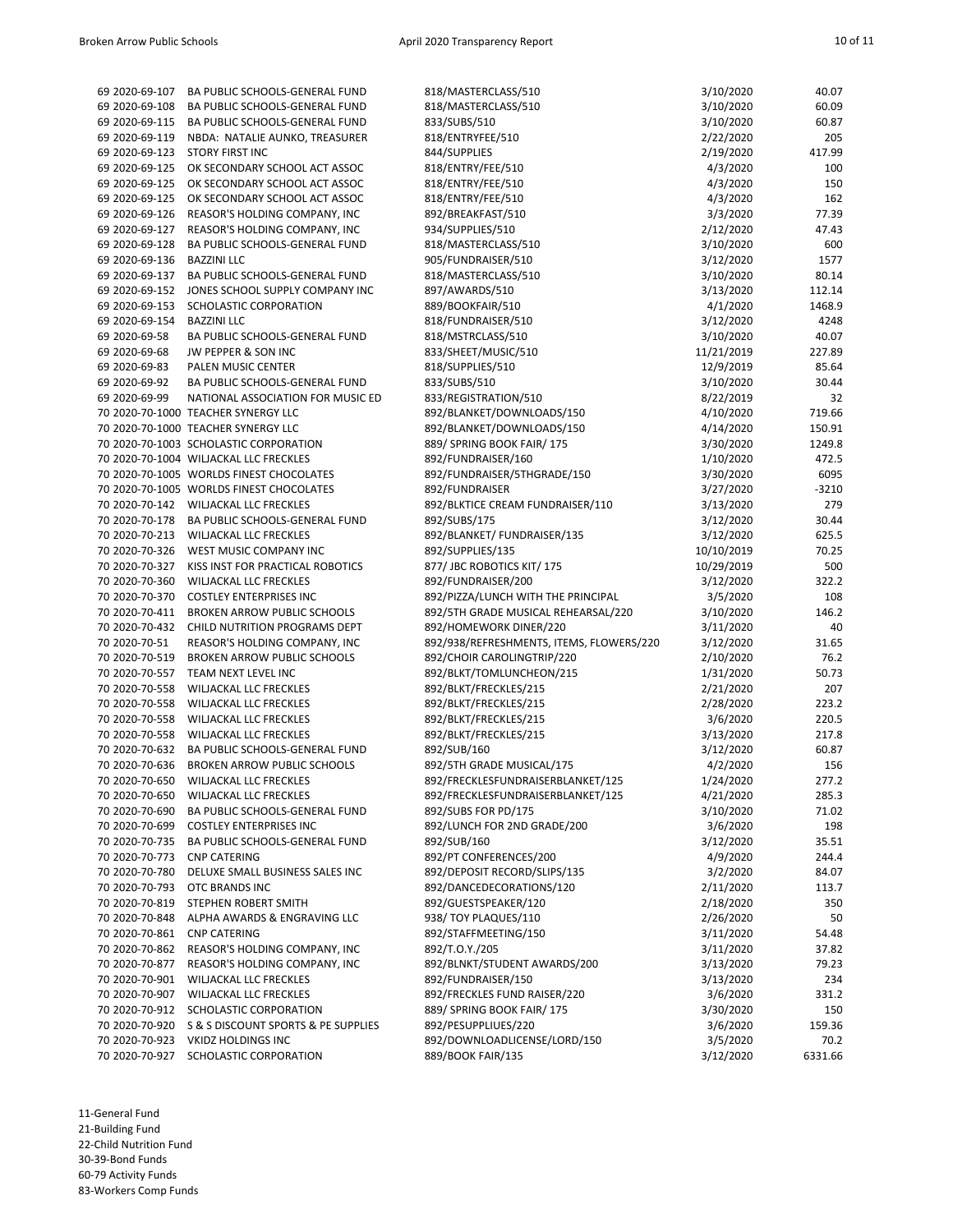| 69 2020-69-107                   | BA PUBLIC SCHOOLS-GENERAL FUND                      | 818/MASTERCLASS/510                               | 3/10/2020             | 40.07           |
|----------------------------------|-----------------------------------------------------|---------------------------------------------------|-----------------------|-----------------|
| 69 2020-69-108                   | BA PUBLIC SCHOOLS-GENERAL FUND                      | 818/MASTERCLASS/510                               | 3/10/2020             | 60.09           |
| 69 2020-69-115                   | BA PUBLIC SCHOOLS-GENERAL FUND                      | 833/SUBS/510                                      | 3/10/2020             | 60.87           |
| 69 2020-69-119                   | NBDA: NATALIE AUNKO, TREASURER                      | 818/ENTRYFEE/510                                  | 2/22/2020             | 205             |
| 69 2020-69-123                   | <b>STORY FIRST INC</b>                              | 844/SUPPLIES                                      | 2/19/2020             | 417.99          |
| 69 2020-69-125                   | OK SECONDARY SCHOOL ACT ASSOC                       | 818/ENTRY/FEE/510                                 | 4/3/2020              | 100             |
| 69 2020-69-125                   | OK SECONDARY SCHOOL ACT ASSOC                       | 818/ENTRY/FEE/510                                 | 4/3/2020              | 150             |
| 69 2020-69-125                   | OK SECONDARY SCHOOL ACT ASSOC                       | 818/ENTRY/FEE/510                                 | 4/3/2020              | 162             |
| 69 2020-69-126                   | REASOR'S HOLDING COMPANY, INC                       | 892/BREAKFAST/510                                 | 3/3/2020              | 77.39           |
| 69 2020-69-127                   | REASOR'S HOLDING COMPANY, INC                       | 934/SUPPLIES/510                                  | 2/12/2020             | 47.43           |
| 69 2020-69-128                   | BA PUBLIC SCHOOLS-GENERAL FUND                      | 818/MASTERCLASS/510                               | 3/10/2020             | 600             |
| 69 2020-69-136                   | <b>BAZZINI LLC</b>                                  | 905/FUNDRAISER/510                                | 3/12/2020             | 1577            |
| 69 2020-69-137                   | BA PUBLIC SCHOOLS-GENERAL FUND                      | 818/MASTERCLASS/510                               | 3/10/2020             | 80.14           |
|                                  | 69 2020-69-152 JONES SCHOOL SUPPLY COMPANY INC      | 897/AWARDS/510                                    | 3/13/2020             | 112.14          |
| 69 2020-69-153                   | SCHOLASTIC CORPORATION                              | 889/BOOKFAIR/510                                  | 4/1/2020              | 1468.9          |
| 69 2020-69-154                   | <b>BAZZINI LLC</b>                                  | 818/FUNDRAISER/510                                | 3/12/2020             | 4248            |
| 69 2020-69-58                    | BA PUBLIC SCHOOLS-GENERAL FUND                      | 818/MSTRCLASS/510                                 | 3/10/2020             | 40.07           |
| 69 2020-69-68                    | JW PEPPER & SON INC                                 | 833/SHEET/MUSIC/510                               | 11/21/2019            | 227.89          |
| 69 2020-69-83                    | PALEN MUSIC CENTER                                  | 818/SUPPLIES/510                                  | 12/9/2019             | 85.64           |
| 69 2020-69-92                    | BA PUBLIC SCHOOLS-GENERAL FUND                      | 833/SUBS/510                                      | 3/10/2020             | 30.44           |
| 69 2020-69-99                    | NATIONAL ASSOCIATION FOR MUSIC ED                   | 833/REGISTRATION/510                              | 8/22/2019             | 32              |
|                                  | 70 2020-70-1000 TEACHER SYNERGY LLC                 | 892/BLANKET/DOWNLOADS/150                         | 4/10/2020             | 719.66          |
|                                  | 70 2020-70-1000 TEACHER SYNERGY LLC                 | 892/BLANKET/DOWNLOADS/150                         | 4/14/2020             | 150.91          |
|                                  | 70 2020-70-1003 SCHOLASTIC CORPORATION              | 889/ SPRING BOOK FAIR/ 175                        | 3/30/2020             | 1249.8          |
|                                  | 70 2020-70-1004 WILJACKAL LLC FRECKLES              | 892/FUNDRAISER/160                                | 1/10/2020             | 472.5           |
|                                  | 70 2020-70-1005 WORLDS FINEST CHOCOLATES            | 892/FUNDRAISER/5THGRADE/150                       | 3/30/2020             | 6095            |
|                                  | 70 2020-70-1005 WORLDS FINEST CHOCOLATES            | 892/FUNDRAISER                                    | 3/27/2020             | $-3210$         |
|                                  | 70 2020-70-142 WILJACKAL LLC FRECKLES               | 892/BLKTICE CREAM FUNDRAISER/110                  | 3/13/2020             | 279             |
|                                  | 70 2020-70-178 BA PUBLIC SCHOOLS-GENERAL FUND       | 892/SUBS/175                                      | 3/12/2020             | 30.44           |
|                                  | 70 2020-70-213 WILJACKAL LLC FRECKLES               | 892/BLANKET/ FUNDRAISER/135                       | 3/12/2020             | 625.5           |
| 70 2020-70-326                   | WEST MUSIC COMPANY INC                              | 892/SUPPLIES/135                                  | 10/10/2019            | 70.25           |
| 70 2020-70-327                   | KISS INST FOR PRACTICAL ROBOTICS                    | 877/ JBC ROBOTICS KIT/ 175                        | 10/29/2019            | 500             |
| 70 2020-70-360                   | WILJACKAL LLC FRECKLES                              | 892/FUNDRAISER/200                                | 3/12/2020             | 322.2           |
| 70 2020-70-370                   | <b>COSTLEY ENTERPRISES INC</b>                      | 892/PIZZA/LUNCH WITH THE PRINCIPAL                | 3/5/2020              | 108             |
| 70 2020-70-411                   | <b>BROKEN ARROW PUBLIC SCHOOLS</b>                  | 892/5TH GRADE MUSICAL REHEARSAL/220               | 3/10/2020             | 146.2           |
| 70 2020-70-432                   | CHILD NUTRITION PROGRAMS DEPT                       | 892/HOMEWORK DINER/220                            | 3/11/2020             | 40              |
| 70 2020-70-51                    | REASOR'S HOLDING COMPANY, INC                       | 892/938/REFRESHMENTS, ITEMS, FLOWERS/220          | 3/12/2020             | 31.65           |
| 70 2020-70-519                   | <b>BROKEN ARROW PUBLIC SCHOOLS</b>                  | 892/CHOIR CAROLINGTRIP/220                        | 2/10/2020             | 76.2            |
| 70 2020-70-557                   | TEAM NEXT LEVEL INC                                 | 892/BLKT/TOMLUNCHEON/215                          | 1/31/2020             | 50.73           |
| 70 2020-70-558                   | WILJACKAL LLC FRECKLES                              | 892/BLKT/FRECKLES/215                             | 2/21/2020             | 207             |
| 70 2020-70-558                   | WILJACKAL LLC FRECKLES                              | 892/BLKT/FRECKLES/215                             | 2/28/2020             | 223.2           |
| 70 2020-70-558                   | WILJACKAL LLC FRECKLES                              | 892/BLKT/FRECKLES/215                             | 3/6/2020              | 220.5           |
|                                  | 70 2020-70-558 WILJACKAL LLC FRECKLES               | 892/BLKT/FRECKLES/215                             | 3/13/2020             | 217.8           |
| 70 2020-70-632                   | BA PUBLIC SCHOOLS-GENERAL FUND                      | 892/SUB/160                                       | 3/12/2020             | 60.87           |
| 70 2020-70-636                   | <b>BROKEN ARROW PUBLIC SCHOOLS</b>                  | 892/5TH GRADE MUSICAL/175                         | 4/2/2020              | 156             |
|                                  | 70 2020-70-650 WILJACKAL LLC FRECKLES               | 892/FRECKLESFUNDRAISERBLANKET/125                 | 1/24/2020             | 277.2           |
| 70 2020-70-650                   | WILJACKAL LLC FRECKLES                              | 892/FRECKLESFUNDRAISERBLANKET/125                 | 4/21/2020             | 285.3           |
| 70 2020-70-690                   | BA PUBLIC SCHOOLS-GENERAL FUND                      | 892/SUBS FOR PD/175                               | 3/10/2020             | 71.02           |
|                                  | 70 2020-70-699 COSTLEY ENTERPRISES INC              | 892/LUNCH FOR 2ND GRADE/200                       | 3/6/2020              | 198             |
| 70 2020-70-735                   | BA PUBLIC SCHOOLS-GENERAL FUND                      | 892/SUB/160                                       | 3/12/2020             | 35.51           |
| 70 2020-70-773                   | <b>CNP CATERING</b>                                 | 892/PT CONFERENCES/200                            | 4/9/2020              | 244.4           |
| 70 2020-70-780                   | DELUXE SMALL BUSINESS SALES INC                     | 892/DEPOSIT RECORD/SLIPS/135                      | 3/2/2020              | 84.07           |
| 70 2020-70-793                   | OTC BRANDS INC                                      | 892/DANCEDECORATIONS/120                          | 2/11/2020             | 113.7           |
| 70 2020-70-819                   | STEPHEN ROBERT SMITH                                | 892/GUESTSPEAKER/120                              | 2/18/2020             | 350             |
| 70 2020-70-848                   | ALPHA AWARDS & ENGRAVING LLC                        | 938/TOY PLAQUES/110                               | 2/26/2020             | 50              |
| 70 2020-70-861                   | <b>CNP CATERING</b>                                 | 892/STAFFMEETING/150                              | 3/11/2020             | 54.48           |
| 70 2020-70-862                   | REASOR'S HOLDING COMPANY, INC                       | 892/T.O.Y./205                                    | 3/11/2020             | 37.82           |
| 70 2020-70-877                   | REASOR'S HOLDING COMPANY, INC                       | 892/BLNKT/STUDENT AWARDS/200                      | 3/13/2020             | 79.23           |
| 70 2020-70-901                   | WILJACKAL LLC FRECKLES                              | 892/FUNDRAISER/150                                | 3/13/2020             | 234             |
| 70 2020-70-907                   | WILJACKAL LLC FRECKLES                              | 892/FRECKLES FUND RAISER/220                      | 3/6/2020              | 331.2           |
|                                  | 70 2020-70-912 SCHOLASTIC CORPORATION               | 889/ SPRING BOOK FAIR/175                         | 3/30/2020             | 150             |
| 70 2020-70-920                   |                                                     |                                                   |                       |                 |
|                                  | S & S DISCOUNT SPORTS & PE SUPPLIES                 | 892/PESUPPLIUES/220                               | 3/6/2020              | 159.36          |
| 70 2020-70-923<br>70 2020-70-927 | <b>VKIDZ HOLDINGS INC</b><br>SCHOLASTIC CORPORATION | 892/DOWNLOADLICENSE/LORD/150<br>889/BOOK FAIR/135 | 3/5/2020<br>3/12/2020 | 70.2<br>6331.66 |